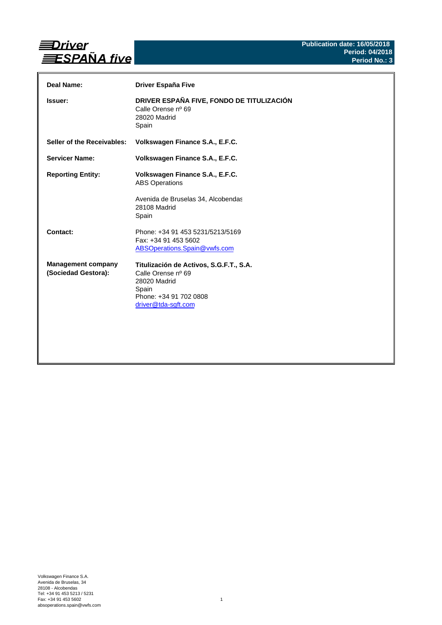

| Deal Name:                                       | Driver España Five                                                                                                                      |
|--------------------------------------------------|-----------------------------------------------------------------------------------------------------------------------------------------|
| <b>Issuer:</b>                                   | DRIVER ESPAÑA FIVE, FONDO DE TITULIZACIÓN<br>Calle Orense nº 69<br>28020 Madrid<br>Spain                                                |
| Seller of the Receivables:                       | Volkswagen Finance S.A., E.F.C.                                                                                                         |
| <b>Servicer Name:</b>                            | Volkswagen Finance S.A., E.F.C.                                                                                                         |
| <b>Reporting Entity:</b>                         | Volkswagen Finance S.A., E.F.C.<br><b>ABS Operations</b><br>Avenida de Bruselas 34, Alcobendas<br>28108 Madrid<br>Spain                 |
| Contact:                                         | Phone: +34 91 453 5231/5213/5169<br>Fax: +34 91 453 5602<br>ABSOperations.Spain@vwfs.com                                                |
| <b>Management company</b><br>(Sociedad Gestora): | Titulización de Activos, S.G.F.T., S.A.<br>Calle Orense nº 69<br>28020 Madrid<br>Spain<br>Phone: +34 91 702 0808<br>driver@tda-sgft.com |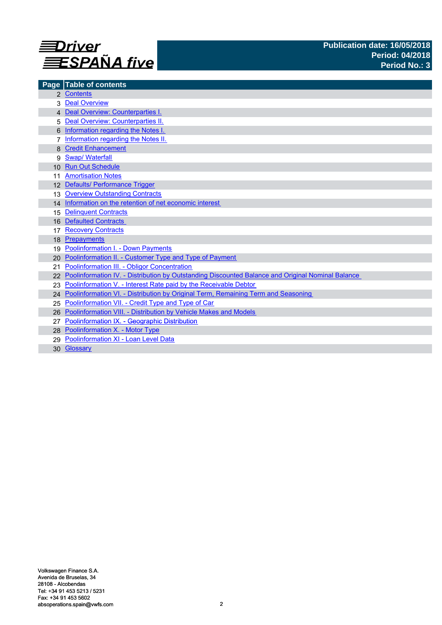

| Page            | <b>Table of contents</b>                                                                             |
|-----------------|------------------------------------------------------------------------------------------------------|
|                 | 2 Contents                                                                                           |
|                 | <b>Deal Overview</b>                                                                                 |
|                 | 4 Deal Overview: Counterparties I.                                                                   |
|                 | Deal Overview: Counterparties II.                                                                    |
|                 | Information regarding the Notes I.                                                                   |
|                 | Information regarding the Notes II.                                                                  |
|                 | <b>Credit Enhancement</b>                                                                            |
| 9               | <b>Swap/ Waterfall</b>                                                                               |
| 10 <sup>1</sup> | <b>Run Out Schedule</b>                                                                              |
|                 | <b>Amortisation Notes</b>                                                                            |
|                 | 12 Defaults/ Performance Trigger                                                                     |
| 13              | <b>Overview Outstanding Contracts</b>                                                                |
|                 | 14 Information on the retention of net economic interest                                             |
| 15              | <b>Delinquent Contracts</b>                                                                          |
| 16              | <b>Defaulted Contracts</b>                                                                           |
| 17              | <b>Recovery Contracts</b>                                                                            |
| 18              | Prepayments                                                                                          |
| 19              | <b>Poolinformation I. - Down Payments</b>                                                            |
| 20.             | Poolinformation II. - Customer Type and Type of Payment                                              |
| 21              | Poolinformation III. - Obligor Concentration                                                         |
|                 | 22 Poolinformation IV. - Distribution by Outstanding Discounted Balance and Original Nominal Balance |
|                 | Poolinformation V. - Interest Rate paid by the Receivable Debtor                                     |
|                 | 24 Poolinformation VI. - Distribution by Original Term, Remaining Term and Seasoning                 |
| 25              | Poolinformation VII. - Credit Type and Type of Car                                                   |
| 26              | Poolinformation VIII. - Distribution by Vehicle Makes and Models                                     |
|                 | Poolinformation IX. - Geographic Distribution                                                        |
|                 | 28 Poolinformation X. - Motor Type                                                                   |
|                 | Poolinformation XI - Loan Level Data                                                                 |
| 30              | Glossary                                                                                             |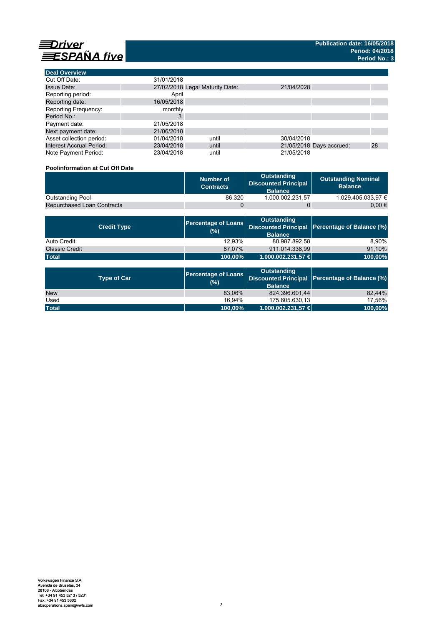

**Deal Overview**

| <b>Deal Overview</b>            |                                 |       |            |                          |    |
|---------------------------------|---------------------------------|-------|------------|--------------------------|----|
| Cut Off Date:                   | 31/01/2018                      |       |            |                          |    |
| <b>Issue Date:</b>              | 27/02/2018 Legal Maturity Date: |       | 21/04/2028 |                          |    |
| Reporting period:               | April                           |       |            |                          |    |
| Reporting date:                 | 16/05/2018                      |       |            |                          |    |
| <b>Reporting Frequency:</b>     | monthly                         |       |            |                          |    |
| Period No.:                     | 3                               |       |            |                          |    |
| Payment date:                   | 21/05/2018                      |       |            |                          |    |
| Next payment date:              | 21/06/2018                      |       |            |                          |    |
| Asset collection period:        | 01/04/2018                      | until | 30/04/2018 |                          |    |
| <b>Interest Accrual Period:</b> | 23/04/2018                      | until |            | 21/05/2018 Days accrued: | 28 |
| Note Payment Period:            | 23/04/2018                      | until | 21/05/2018 |                          |    |

# **Poolinformation at Cut Off Date**

|                                   | Number of<br><b>Contracts</b> | Outstanding<br><b>Discounted Principal</b><br><b>Balance</b> | <b>Outstanding Nominal</b><br><b>Balance</b> |
|-----------------------------------|-------------------------------|--------------------------------------------------------------|----------------------------------------------|
| Outstanding Pool                  | 86.320                        | 1.000.002.231.57                                             | 1.029.405.033.97 €                           |
| <b>Repurchased Loan Contracts</b> |                               |                                                              | 0.00 €                                       |

| <b>Credit Type</b>    | <b>Percentage of Loans</b><br>(%) | Outstanding<br><b>Balance</b> | Discounted Principal Percentage of Balance (%) |
|-----------------------|-----------------------------------|-------------------------------|------------------------------------------------|
| Auto Credit           | 12.93%                            | 88.987.892,58                 | 8.90%                                          |
| <b>Classic Credit</b> | 87.07%                            | 911.014.338.99                | 91,10%                                         |
| <b>Total</b>          | 100,00%                           | 1.000.002.231,57 €            | 100,00%                                        |

| <b>Type of Car</b> | <b>Percentage of Loans</b><br>(%) | <b>Outstanding</b><br><b>Balance</b> | Discounted Principal Percentage of Balance (%) |
|--------------------|-----------------------------------|--------------------------------------|------------------------------------------------|
| <b>New</b>         | 83.06%                            | 824.396.601.44                       | 82.44%                                         |
| Used               | 16.94%                            | 175.605.630.13                       | 17.56%                                         |
| <b>Total</b>       | 100,00%                           | 1.000.002.231,57 €                   | 100,00%                                        |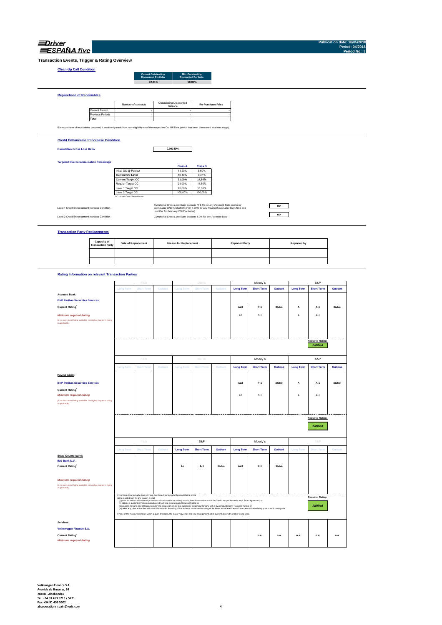| Driver            |  |
|-------------------|--|
| <b>SPANA</b> five |  |

**Publication date: 16/05/2018 Period: 04/2018 Period No.: 3**

**Transaction Events, Trigger & Rating Overview**

### **Clean-Up Call Condition**

| <b>Current Outstanding</b><br><b>Discounted Portfolio</b> | Min. Outstanding<br><b>Discounted Portfolio</b> |
|-----------------------------------------------------------|-------------------------------------------------|
| 92.21%                                                    | 10.00%                                          |
|                                                           |                                                 |
|                                                           |                                                 |
|                                                           |                                                 |

Current Period Previous Periods **Total** If a repurchase of receivables occurred, it would only result from non-eligibility as of the respective Cut Off Date (which has been discovered at a later stage). Outstanding Discounted<br>
Balance<br>
-**Contract Contract Contract Contract Contract Contract Contract Contract** the contract of the contract of the contract of the contract of the contract of the contract of the contract of the contract of the contract of **Contract Contract Contract Re-Purchase Price** Number of contracts

### **Credit Enhancement Increase Condition**

**Cumulative Gross Loss Ratio**

**Repurchase of Receivables**

**0,00140%**

### **Targeted Overcollateralisation Percentage**

|                                  | <b>Class A</b> | <b>Class B</b> |
|----------------------------------|----------------|----------------|
| Initial OC @ Poolcut             | 11.20%         | 8.60%          |
| <b>Current OC Level</b>          | 12.19%         | 9.37%          |
| <b>Current Target OC</b>         | 21.00%         | 14.50%         |
| Regular Target OC                | 21.00%         | 14.50%         |
| Level 1 Target OC                | 25.00%         | 18.00%         |
| Level 2 Target OC                | 100.00%        | 100.00%        |
| OC = Asset Overcollateralisation |                |                |

Level 1 Credit Enhancement Increase Condition -

*Cumulative Gross Loss Ratio exceeds (i) 1.8% on any Payment Date prior to or during May 2019 (included); or (ii) 4.00% for any Payment Date after May 2019 and until that for February 2020(inclusive)* Level 2 Credit Enhancement Increase Condition - *Cumulative Gross Loss Ratio exceeds 8.0% for any Payment Date*

### *no no*

**Transaction Party Replacements**

| Capacity of<br><b>Transaction Party</b> | <b>Date of Replacement</b> | <b>Reason for Replacement</b> | <b>Replaced Party</b> | Replaced by |
|-----------------------------------------|----------------------------|-------------------------------|-----------------------|-------------|
|                                         |                            |                               |                       |             |
|                                         |                            |                               |                       |             |

### **Rating Information on relevant Transaction Parties**

|                                                                                   |                  | Fitch                                        |                                                                                                                                                                                                                                             |                  | DBR               |         |                  | Moody's                                                                                                                                                                                          |         |                  | S&P                     |               |
|-----------------------------------------------------------------------------------|------------------|----------------------------------------------|---------------------------------------------------------------------------------------------------------------------------------------------------------------------------------------------------------------------------------------------|------------------|-------------------|---------|------------------|--------------------------------------------------------------------------------------------------------------------------------------------------------------------------------------------------|---------|------------------|-------------------------|---------------|
|                                                                                   | <b>Long Term</b> | <b>Short Term</b>                            | Outlook                                                                                                                                                                                                                                     | <b>Long Term</b> | <b>Short Term</b> | Outlook | <b>Long Term</b> | <b>Short Term</b>                                                                                                                                                                                | Outlook | <b>Long Term</b> | <b>Short Term</b>       | Outlook       |
|                                                                                   |                  |                                              |                                                                                                                                                                                                                                             |                  |                   |         |                  |                                                                                                                                                                                                  |         |                  |                         |               |
| <b>Account Bank:</b>                                                              |                  |                                              |                                                                                                                                                                                                                                             |                  |                   |         |                  |                                                                                                                                                                                                  |         |                  |                         |               |
| <b>BNP Paribas Securities Services</b>                                            |                  |                                              |                                                                                                                                                                                                                                             |                  |                   |         |                  |                                                                                                                                                                                                  |         |                  |                         |               |
| <b>Current Rating</b>                                                             |                  |                                              |                                                                                                                                                                                                                                             |                  |                   |         | Aa3              | $P-1$                                                                                                                                                                                            | Stable  | А                | A-1                     | <b>Stable</b> |
| <b>Minimum required Rating</b>                                                    |                  |                                              |                                                                                                                                                                                                                                             |                  |                   |         | A <sub>2</sub>   | $P-1$                                                                                                                                                                                            |         | А                | $A-1$                   |               |
| (if no short term Rating available, the higher long term rating<br>is applicable) |                  |                                              |                                                                                                                                                                                                                                             |                  |                   |         |                  |                                                                                                                                                                                                  |         |                  |                         |               |
|                                                                                   |                  |                                              |                                                                                                                                                                                                                                             |                  |                   |         |                  |                                                                                                                                                                                                  |         |                  |                         |               |
|                                                                                   |                  |                                              |                                                                                                                                                                                                                                             |                  |                   |         |                  |                                                                                                                                                                                                  |         |                  |                         |               |
|                                                                                   |                  |                                              |                                                                                                                                                                                                                                             |                  |                   |         |                  |                                                                                                                                                                                                  |         |                  |                         |               |
|                                                                                   |                  |                                              |                                                                                                                                                                                                                                             |                  |                   |         |                  |                                                                                                                                                                                                  |         |                  | <b>Required Rating:</b> |               |
|                                                                                   |                  |                                              |                                                                                                                                                                                                                                             |                  |                   |         |                  |                                                                                                                                                                                                  |         |                  | fulfilled               |               |
|                                                                                   |                  | Fitch                                        |                                                                                                                                                                                                                                             |                  | <b>DBRS</b>       |         |                  | Moody's                                                                                                                                                                                          |         |                  | S&P                     |               |
|                                                                                   | <b>Long Term</b> | <b>Short Term</b>                            | Outlook                                                                                                                                                                                                                                     | <b>Long Term</b> | <b>Short Term</b> | Outlook | <b>Long Term</b> | <b>Short Term</b>                                                                                                                                                                                | Outlook | <b>Long Term</b> | <b>Short Term</b>       | Outlook       |
| <b>Paying Agent</b>                                                               |                  |                                              |                                                                                                                                                                                                                                             |                  |                   |         |                  |                                                                                                                                                                                                  |         |                  |                         |               |
| <b>BNP Paribas Securities Services</b>                                            |                  |                                              |                                                                                                                                                                                                                                             |                  |                   |         | Aa3              | P-1                                                                                                                                                                                              | Stable  | A                | A-1                     | Stable        |
| <b>Current Rating</b>                                                             |                  |                                              |                                                                                                                                                                                                                                             |                  |                   |         |                  |                                                                                                                                                                                                  |         |                  |                         |               |
| <b>Minimum required Rating</b>                                                    |                  |                                              |                                                                                                                                                                                                                                             |                  |                   |         | A2               | $P-1$                                                                                                                                                                                            |         | А                | A-1                     |               |
| (if no short term Rating available, the higher long term rating                   |                  |                                              |                                                                                                                                                                                                                                             |                  |                   |         |                  |                                                                                                                                                                                                  |         |                  |                         |               |
| is applicable)                                                                    |                  |                                              |                                                                                                                                                                                                                                             |                  |                   |         |                  |                                                                                                                                                                                                  |         |                  |                         |               |
|                                                                                   |                  |                                              |                                                                                                                                                                                                                                             |                  |                   |         |                  |                                                                                                                                                                                                  |         |                  |                         |               |
|                                                                                   |                  |                                              |                                                                                                                                                                                                                                             |                  |                   |         |                  |                                                                                                                                                                                                  |         |                  |                         |               |
|                                                                                   |                  |                                              |                                                                                                                                                                                                                                             |                  |                   |         |                  |                                                                                                                                                                                                  |         |                  |                         |               |
|                                                                                   |                  |                                              |                                                                                                                                                                                                                                             |                  |                   |         |                  |                                                                                                                                                                                                  |         |                  |                         |               |
|                                                                                   |                  |                                              |                                                                                                                                                                                                                                             |                  |                   |         |                  |                                                                                                                                                                                                  |         |                  | <b>Required Rating:</b> |               |
|                                                                                   |                  |                                              |                                                                                                                                                                                                                                             |                  |                   |         |                  |                                                                                                                                                                                                  |         |                  | fulfilled               |               |
|                                                                                   |                  |                                              |                                                                                                                                                                                                                                             |                  |                   |         |                  |                                                                                                                                                                                                  |         |                  |                         |               |
|                                                                                   |                  |                                              |                                                                                                                                                                                                                                             |                  |                   |         |                  |                                                                                                                                                                                                  |         |                  |                         |               |
|                                                                                   |                  | Fitch                                        |                                                                                                                                                                                                                                             |                  | S&P               |         |                  | Moody's                                                                                                                                                                                          |         |                  | S&P                     |               |
|                                                                                   | <b>Long Term</b> | <b>Short Term</b>                            | Outlook                                                                                                                                                                                                                                     | <b>Long Term</b> | <b>Short Term</b> | Outlook | <b>Long Term</b> | <b>Short Term</b>                                                                                                                                                                                | Outlook | <b>Long Term</b> | <b>Short Term</b>       | Outlook       |
|                                                                                   |                  |                                              |                                                                                                                                                                                                                                             |                  |                   |         |                  |                                                                                                                                                                                                  |         |                  |                         |               |
| Swap Counterparty:                                                                |                  |                                              |                                                                                                                                                                                                                                             |                  |                   |         |                  |                                                                                                                                                                                                  |         |                  |                         |               |
| <b>ING Bank N.V.</b>                                                              |                  |                                              |                                                                                                                                                                                                                                             |                  |                   |         |                  |                                                                                                                                                                                                  |         |                  |                         |               |
| <b>Current Rating</b>                                                             |                  |                                              |                                                                                                                                                                                                                                             | A+               | A-1               | Stable  | Aa3              | $P-1$                                                                                                                                                                                            | Stable  |                  |                         |               |
|                                                                                   |                  |                                              |                                                                                                                                                                                                                                             |                  |                   |         |                  |                                                                                                                                                                                                  |         |                  |                         |               |
|                                                                                   |                  |                                              |                                                                                                                                                                                                                                             |                  |                   |         |                  |                                                                                                                                                                                                  |         |                  |                         |               |
| <b>Minimum required Rating</b>                                                    |                  |                                              |                                                                                                                                                                                                                                             |                  |                   |         |                  |                                                                                                                                                                                                  |         |                  |                         |               |
| (if no short term Rating available, the higher long term rating<br>is applicable) |                  |                                              |                                                                                                                                                                                                                                             |                  |                   |         |                  |                                                                                                                                                                                                  |         |                  |                         |               |
|                                                                                   |                  |                                              |                                                                                                                                                                                                                                             |                  |                   |         |                  |                                                                                                                                                                                                  |         |                  |                         |               |
|                                                                                   |                  |                                              | If the Swap Counterparty does not have the Swap Counterparty Required Rating or the                                                                                                                                                         |                  |                   |         |                  |                                                                                                                                                                                                  |         |                  | <b>Required Rating:</b> |               |
|                                                                                   |                  | rating is withdrawn for any reason, it shall | (i) posts an amount of collateral (in the form of cash and/or securities) as calculated in accordance with the Credit support Annex to each Swap Agreement; or                                                                              |                  |                   |         |                  |                                                                                                                                                                                                  |         |                  |                         |               |
|                                                                                   |                  |                                              | (ii) obtains a guarantee from an institution with a Swap Counterparty Required Rating; or<br>(ii) assigns its rights and obligations under the Swap Agreement to a successor Swap Counterparty with a Swap Counterparty Required Rating; or |                  |                   |         |                  |                                                                                                                                                                                                  |         |                  | fulfilled               |               |
|                                                                                   |                  |                                              |                                                                                                                                                                                                                                             |                  |                   |         |                  | (iv) takes any other action that will allow it to maintain the rating of the Notes or to restore the rating of the Notes to the level it would have been at immediately prior to such downgrade. |         |                  |                         |               |
|                                                                                   |                  |                                              | If none of the measures is taken within a given timespan, the Issuer may enter into new arrangements at its own initiative with another Swap Bank.                                                                                          |                  |                   |         |                  |                                                                                                                                                                                                  |         |                  |                         |               |
|                                                                                   |                  |                                              |                                                                                                                                                                                                                                             |                  |                   |         |                  |                                                                                                                                                                                                  |         |                  |                         |               |
| Servicer:<br><b>Volkswagen Finance S.A.</b>                                       |                  |                                              |                                                                                                                                                                                                                                             |                  |                   |         |                  |                                                                                                                                                                                                  |         |                  |                         |               |
|                                                                                   |                  |                                              |                                                                                                                                                                                                                                             |                  |                   |         |                  |                                                                                                                                                                                                  |         |                  |                         |               |
| <b>Current Rating</b>                                                             |                  |                                              |                                                                                                                                                                                                                                             |                  |                   |         |                  | n.a.                                                                                                                                                                                             | n.a.    | n.a.             | n.a.                    | n.a.          |
| <b>Minimum required Rating</b>                                                    |                  |                                              |                                                                                                                                                                                                                                             |                  |                   |         |                  |                                                                                                                                                                                                  |         |                  |                         |               |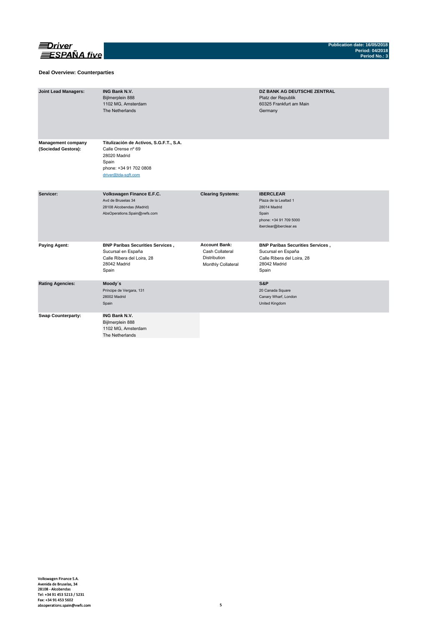

### **Deal Overview: Counterparties**

| <b>Joint Lead Managers:</b>                      | <b>ING Bank N.V.</b><br>Bijlmerplein 888<br>1102 MG, Amsterdam<br>The Netherlands                                                       |                                                                                      | <b>DZ BANK AG DEUTSCHE ZENTRAL</b><br>Platz der Republik<br>60325 Frankfurt am Main<br>Germany                         |
|--------------------------------------------------|-----------------------------------------------------------------------------------------------------------------------------------------|--------------------------------------------------------------------------------------|------------------------------------------------------------------------------------------------------------------------|
| <b>Management company</b><br>(Sociedad Gestora): | Titulización de Activos, S.G.F.T., S.A.<br>Calle Orense nº 69<br>28020 Madrid<br>Spain<br>phone: +34 91 702 0808<br>driver@tda-sqft.com |                                                                                      |                                                                                                                        |
| Servicer:                                        | Volkswagen Finance E.F.C.<br>Avd de Bruselas 34<br>28108 Alcobendas (Madrid)<br>AbsOperations.Spain@vwfs.com                            | <b>Clearing Systems:</b>                                                             | <b>IBERCLEAR</b><br>Plaza de la Lealtad 1<br>28014 Madrid<br>Spain<br>phone: +34 91 709 5000<br>iberclear@iberclear.es |
| <b>Paying Agent:</b>                             | <b>BNP Paribas Securities Services,</b><br>Sucursal en España<br>Calle Ribera del Loira, 28<br>28042 Madrid<br>Spain                    | <b>Account Bank:</b><br>Cash Collateral<br><b>Distribution</b><br>Monthly Collateral | <b>BNP Paribas Securities Services,</b><br>Sucursal en España<br>Calle Ribera del Loira, 28<br>28042 Madrid<br>Spain   |
| <b>Rating Agencies:</b>                          | Moody's<br>Príncipe de Vergara, 131<br>28002 Madrid<br>Spain                                                                            |                                                                                      | S&P<br>20 Canada Square<br>Canary Wharf, London<br>United Kingdom                                                      |
| <b>Swap Counterparty:</b>                        | <b>ING Bank N.V.</b><br>Bijlmerplein 888<br>1102 MG, Amsterdam<br>The Netherlands                                                       |                                                                                      |                                                                                                                        |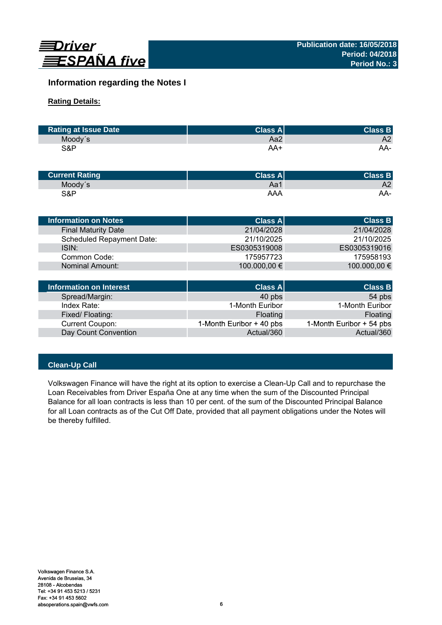

# **Information regarding the Notes I**

# **Rating Details:**

| <b>Rating at Issue Date</b> | <b>Class All</b> | <b>Class B</b> |
|-----------------------------|------------------|----------------|
| Moody's                     | Aa2              | A2             |
| S&P                         | AA+              | AA-            |

| <b>Current Rating</b> | <b>Class All</b> | <b>Class B</b> |
|-----------------------|------------------|----------------|
| Moody's               | Aa1              | A2             |
| S&P                   | AAA              | AA-            |

| Information on Notes             | <b>Class All</b> | <b>Class B</b> |
|----------------------------------|------------------|----------------|
| <b>Final Maturity Date</b>       | 21/04/2028       | 21/04/2028     |
| <b>Scheduled Repayment Date:</b> | 21/10/2025       | 21/10/2025     |
| ISIN:                            | ES0305319008     | ES0305319016   |
| Common Code:                     | 175957723        | 175958193      |
| Nominal Amount:                  | 100.000,00 €     | 100.000,00 €   |
|                                  |                  |                |
|                                  |                  |                |

| Information on Interest | Class A                  | <b>Class B</b>           |
|-------------------------|--------------------------|--------------------------|
| Spread/Margin:          | 40 pbs                   | 54 pbs                   |
| Index Rate:             | 1-Month Euribor          | 1-Month Euribor          |
| Fixed/Floating:         | Floating                 | Floating                 |
| Current Coupon:         | 1-Month Euribor + 40 pbs | 1-Month Euribor + 54 pbs |
| Day Count Convention    | Actual/360               | Actual/360               |

# **Clean-Up Call**

Volkswagen Finance will have the right at its option to exercise a Clean-Up Call and to repurchase the Loan Receivables from Driver España One at any time when the sum of the Discounted Principal Balance for all loan contracts is less than 10 per cent. of the sum of the Discounted Principal Balance for all Loan contracts as of the Cut Off Date, provided that all payment obligations under the Notes will be thereby fulfilled.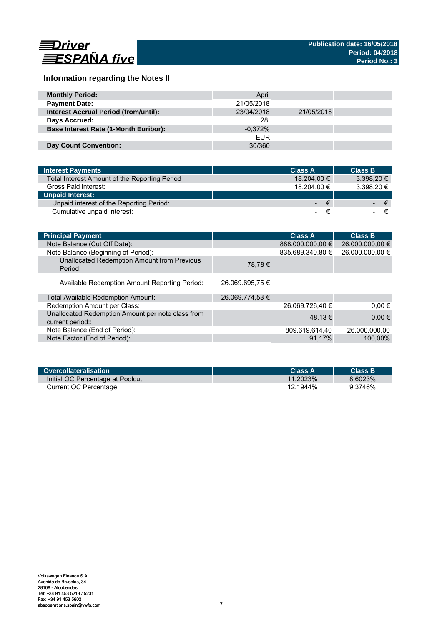

# **Information regarding the Notes II**

| <b>Monthly Period:</b>                       | April      |            |  |
|----------------------------------------------|------------|------------|--|
| <b>Payment Date:</b>                         | 21/05/2018 |            |  |
| <b>Interest Accrual Period (from/until):</b> | 23/04/2018 | 21/05/2018 |  |
| Days Accrued:                                | 28         |            |  |
| <b>Base Interest Rate (1-Month Euribor):</b> | $-0.372\%$ |            |  |
|                                              | <b>EUR</b> |            |  |
| Day Count Convention:                        | 30/360     |            |  |

| <b>Interest Payments</b>                      | <b>Class A</b>  | <b>Class B</b>    |
|-----------------------------------------------|-----------------|-------------------|
| Total Interest Amount of the Reporting Period | 18.204.00 €     | 3.398.20 €        |
| Gross Paid interest:                          | 18.204.00 €     | 3.398,20 €        |
| <b>Unpaid Interest:</b>                       |                 |                   |
| Unpaid interest of the Reporting Period:      | <b>Contract</b> | ∕€7<br>$\epsilon$ |
| Cumulative unpaid interest:                   |                 |                   |

| <b>Principal Payment</b>                                              |                 | <b>Class A</b>   | <b>Class B</b>  |
|-----------------------------------------------------------------------|-----------------|------------------|-----------------|
| Note Balance (Cut Off Date):                                          |                 | 888.000.000,00 € | 26.000.000,00 € |
| Note Balance (Beginning of Period):                                   |                 | 835.689.340,80 € | 26.000.000,00 € |
| Unallocated Redemption Amount from Previous<br>Period:                | 78,78 €         |                  |                 |
| Available Redemption Amount Reporting Period:                         | 26.069.695,75 € |                  |                 |
| Total Available Redemption Amount:                                    | 26.069.774,53 € |                  |                 |
| Redemption Amount per Class:                                          |                 | 26.069.726,40 €  | $0.00 \in$      |
| Unallocated Redemption Amount per note class from<br>current period:: |                 | 48.13 €          | $0,00 \in$      |
| Note Balance (End of Period):                                         |                 | 809.619.614,40   | 26.000.000.00   |
| Note Factor (End of Period):                                          |                 | 91.17%           | 100,00%         |

| Overcollateralisation            | Class A     | <b>Class B</b> |
|----------------------------------|-------------|----------------|
| Initial OC Percentage at Poolcut | $11.2023\%$ | 8.6023%        |
| Current OC Percentage            | 12.1944%    | 9.3746%        |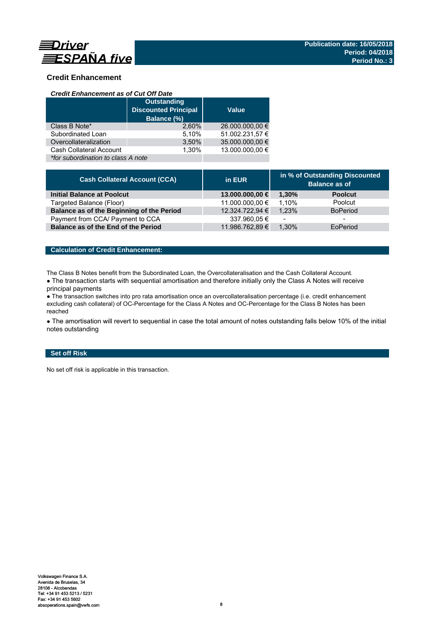

# **Credit Enhancement**

### *Credit Enhancement as of Cut Off Date*

|                                    | <b>Outstanding</b><br><b>Discounted Principal</b><br>Balance (%) | <b>Value</b>    |
|------------------------------------|------------------------------------------------------------------|-----------------|
| Class B Note*                      | 2.60%                                                            | 26.000.000,00 € |
| Subordinated Loan                  | 5,10%                                                            | 51.002.231,57 € |
| Overcollateralization              | 3,50%                                                            | 35.000.000,00 € |
| Cash Collateral Account            | 1.30%                                                            | 13.000.000.00 € |
| *for subordination to class A note |                                                                  |                 |

| <b>Cash Collateral Account (CCA)</b>      | in EUR          | in % of Outstanding Discounted<br><b>Balance as of</b> |                 |
|-------------------------------------------|-----------------|--------------------------------------------------------|-----------------|
| <b>Initial Balance at Poolcut</b>         | 13.000.000,00 € | 1.30%                                                  | <b>Poolcut</b>  |
| Targeted Balance (Floor)                  | 11.000.000,00 € | 1.10%                                                  | Poolcut         |
| Balance as of the Beginning of the Period | 12.324.722,94 € | 1.23%                                                  | <b>BoPeriod</b> |
| Payment from CCA/ Payment to CCA          | 337.960,05 €    | $\overline{\phantom{0}}$                               | -               |
| Balance as of the End of the Period       | 11.986.762,89 € | 1.30%                                                  | EoPeriod        |

# **Calculation of Credit Enhancement:**

The Class B Notes benefit from the Subordinated Loan, the Overcollateralisation and the Cash Collateral Account.

• The transaction starts with sequential amortisation and therefore initially only the Class A Notes will receive principal payments

● The transaction switches into pro rata amortisation once an overcollateralisation percentage (i.e. credit enhancement excluding cash collateral) of OC-Percentage for the Class A Notes and OC-Percentage for the Class B Notes has been reached

• The amortisation will revert to sequential in case the total amount of notes outstanding falls below 10% of the initial notes outstanding

# **Set off Risk**

No set off risk is applicable in this transaction.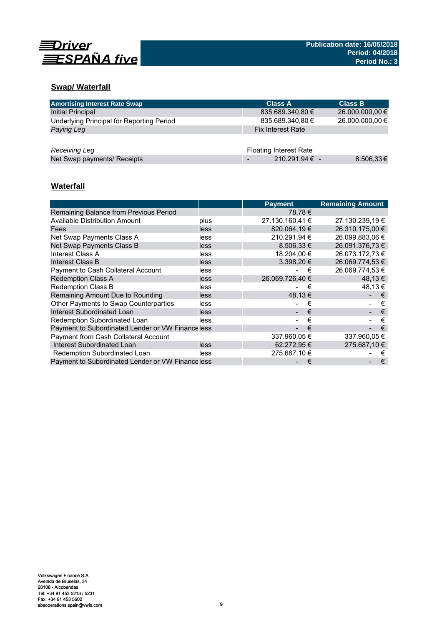

# **Swap/ Waterfall**

| <b>Amortising Interest Rate Swap</b>      | <b>Class A</b>                | <b>Class B</b>  |
|-------------------------------------------|-------------------------------|-----------------|
| Initial Principal                         | 835.689.340,80 €              | 26.000.000,00 € |
| Underlying Principal for Reporting Period | 835.689.340,80 €              | 26.000.000,00 € |
| Paying Leg                                | <b>Fix Interest Rate</b>      |                 |
|                                           |                               |                 |
| Receiving Leg                             | <b>Floating Interest Rate</b> |                 |
| Net Swap payments/ Receipts               | 210.291,94 € -                | 8.506,33€       |

# **Waterfall**

|                                                   |      | <b>Payment</b>  | <b>Remaining Amount</b> |
|---------------------------------------------------|------|-----------------|-------------------------|
| Remaining Balance from Previous Period            |      | 78.78 €         |                         |
| <b>Available Distribution Amount</b>              | plus | 27.130.160,41 € | 27.130.239,19 €         |
| Fees                                              | less | 820.064.19€     | 26.310.175.00 €         |
| Net Swap Payments Class A                         | less | 210.291.94 €    | 26.099.883.06 €         |
| Net Swap Payments Class B                         | less | $8.506.33 \in$  | 26.091.376,73 €         |
| Interest Class A                                  | less | 18.204.00 €     | 26.073.172.73 €         |
| Interest Class B                                  | less | $3.398.20 \in$  | 26.069.774.53 €         |
| Payment to Cash Collateral Account                | less | €               | 26.069.774,53 €         |
| <b>Redemption Class A</b>                         | less | 26.069.726.40 € | 48.13€                  |
| <b>Redemption Class B</b>                         | less | €               | 48.13 €                 |
| Remaining Amount Due to Rounding                  | less | 48,13 €         | €                       |
| Other Payments to Swap Counterparties             | less | €               | €                       |
| <b>Interest Subordinated Loan</b>                 | less | €               | €                       |
| Redemption Subordinated Loan                      | less | €               | €                       |
| Payment to Subordinated Lender or VW Finance less |      | €               | €                       |
| Payment from Cash Collateral Account              |      | 337.960,05 €    | 337.960,05 €            |
| Interest Subordinated Loan                        | less | 62.272,95 €     | 275.687,10 €            |
| Redemption Subordinated Loan                      | less | 275.687.10 €    | €                       |
| Payment to Subordinated Lender or VW Finance less |      | €               | €                       |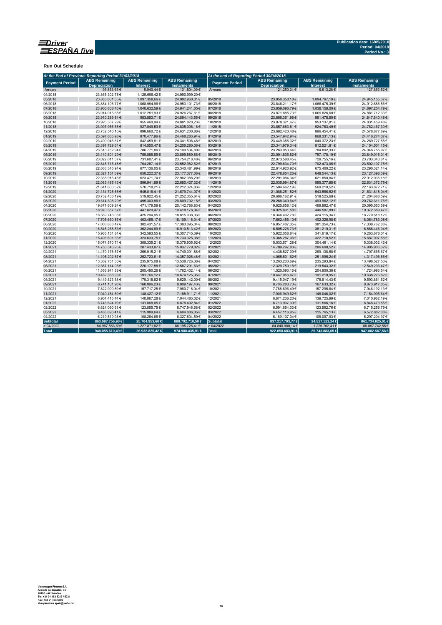

**Run Out Schedule**

|                       | At the End of Previous Reporting Period 31/03/2018 |                                         |                                            | At the end of Reporting Period 30/04/2018 |                                             |                                         |                                            |
|-----------------------|----------------------------------------------------|-----------------------------------------|--------------------------------------------|-------------------------------------------|---------------------------------------------|-----------------------------------------|--------------------------------------------|
| <b>Payment Period</b> | <b>ABS Remaining</b><br><b>Depreciation</b>        | <b>ABS Remaining</b><br><b>Interest</b> | <b>ABS Remaining</b><br><b>Instalments</b> | <b>Payment Period</b>                     | <b>ABS Remaining</b><br><b>Depreciation</b> | <b>ABS Remaining</b><br><b>Interest</b> | <b>ABS Remaining</b><br><b>Instalments</b> |
| Arrears               | 95.863.65€                                         | 5.940,44 €                              | 101.804,09€                                | Arrears                                   | 121.250.24 €                                | 6.613,28€                               | 127.863.52€                                |
| 04/2018               | 23.865.302.78€                                     | 1.125.696,42€                           | 24.990.999.20€                             |                                           |                                             |                                         |                                            |
| 05/2018               | 23.885.601.35€                                     | 1.097.358.66 €                          | 24.982.960.01€                             | 05/2018                                   | 23.850.358,18€                              | 1.094.797,19€                           | 24.945.155,37€                             |
| 06/2018               | 23.884.106,77€                                     | 1.068.994,96€                           | 24.953.101,73€                             | 06/2018                                   | 23.846.211,17€                              | 1.066.475,39€                           | 24.912.686,56€                             |
| 07/2018               | 23.900.608,46€                                     | 1.040.632,59€                           | 24.941.241,05€                             | 07/2018                                   | 23.859.096,79€                              | 1.038.158,00 €                          | 24.897.254,79€                             |
| 08/2018               | 23.914.015.68€                                     | 1.012.251,93€                           | 24.926.267,61€                             | 08/2018                                   | 23.871.885,73€                              | 1.009.826,60 €                          | 24.881.712,33€                             |
| 09/2018               | 23.910.289,84€                                     | 983.853,71€                             | 24.894.143,55€                             | 09/2018                                   | 23.866.361,98€                              | 981.478,50€                             | 24.847.840,48€                             |
| 10/2018               | 23.926.367,29€                                     | 955.460,94€                             | 24.881.828,23€                             | 10/2018                                   | 23.878.321,67€                              | 953.137,81€                             | 24.831.459,48€                             |
| 11/2018               | 23.907.956,65€                                     | 927.049,53€                             | 24.835.006,18€                             | 11/2018                                   | 23.857.683,81€                              | 924.783,49€                             | 24.782.467,30€                             |
| 12/2018               | 23.732.540,16€                                     | 898.660,72€                             | 24.631.200,88€                             | 12/2018                                   | 23.682.423,48€                              | 896.454,41€                             | 24.578.877,89€                             |
| 01/2019               | 23.597.805,98€                                     | 870.477,96€                             | 24.468.283,94€                             | 01/2019                                   | 23.547.942,94€                              | 868.331,13€                             | 24.416.274,07€                             |
| 02/2019               | 23.499.046,67€                                     | 842.459,81€                             | 24.341.506,48€                             | 02/2019                                   | 23.449.355,32€                              | 840.372,23€                             | 24.289.727,55€                             |
| 03/2019               | 23.391.729,61€                                     | 814.550,47€                             | 24.206.280,08€                             | 03/2019                                   | 23.341.979,34€                              | 812.521,81€                             | 24.154.501,15€                             |
| 04/2019               | 23.313.762,94€                                     | 786.771,86€                             | 24.100.534,80€                             | 04/2019                                   | 23.263.953,64€                              | 784.802,33€                             | 24.048.755,97€                             |
| 05/2019               | 23.140.801.29€                                     | 759.088.59€                             | 23.899.889,88€                             | 05/2019                                   | 23.091.836,82€                              | 757.178,19€                             | 23.849.015,01€                             |
| 06/2019               | 23.022.611,07€                                     | 731.607,41€                             | 23.754.218,48€                             | 06/2019                                   | 22.973.588,45€                              | 729.755,16€                             | 23.703.343,61€                             |
| 07/2019               | 22.848.715,48€                                     | 704.267,14€                             | 23.552.982,62€                             | 07/2019                                   | 22.799.634,70€                              | 702.473,05€                             | 23.502.107,75€                             |
| 08/2019               | 22.663.345.94€                                     | 677.136,05€                             | 23.340.481,99€                             | 08/2019                                   | 22.614.920.92€                              | 675.400,22€                             | 23.290.321,14€                             |
| 09/2019               | 22.527.154,69€                                     | 650.222,37€                             | 23.177.377,06€                             | 09/2019                                   | 22.478.854,26€                              | 648.544,13€                             | 23.127.398,39€                             |
| 10/2019               | 22.338.916.46€                                     | 623.471.74€                             | 22.962.388.20€                             | 10/2019                                   | 22.291.084.34€                              | 621.850.84 €                            | 22.912.935,18€                             |
| 11/2019               | 22.083.485,43€                                     | 596.941,89€                             | 22.680.427,32€                             | 11/2019                                   | 22.035.994,87€                              | 595.377,88€                             | 22.631.372,75€                             |
| 12/2019               | 21.641.606,62€                                     | 570.718,21€                             | 22.212.324,83€                             | 12/2019                                   | 21.594.662,19€                              | 569.210,52€                             | 22.163.872,71€                             |
| 01/2020               | 21.134.725,66€                                     | 545.018,41€                             | 21.679.744,07€                             | 01/2020                                   | 21.088.251,52€                              | 543.566,52€                             | 21.631.818,04€                             |
| 02/2020               | 20.732.433,19€                                     | 519.922,45€                             | 21.252.355,64€                             | 02/2020                                   | 20.686.162,91€                              | 518.525,68€                             | 21.204.688,59€                             |
| 03/2020               | 20.314.398,29€                                     | 495.303,86€                             | 20.809.702,15€                             | 03/2020                                   | 20.268.349,64€                              | 493.962,12€                             | 20.762.311,76€                             |
| 04/2020               | 19.671.609,24€                                     | 471.179,59€                             | 20.142.788,83€                             | 04/2020                                   | 19.625.658,12€                              | 469.892,47€                             | 20.095.550,59€                             |
| 05/2020               | 18.970.357,57€                                     | 447.820,47€                             | 19.418.178,04€                             | 05/2020                                   | 18.925.801,58€                              | 446.587,89€                             | 19.372.389,47€                             |
| 06/2020               | 18.389.743,08€                                     | 425.294,95€                             | 18.815.038,03€                             | 06/2020                                   | 18.346.402,78€                              | 424.115,34 €                            | 18.770.518,12€                             |
| 07/2020               | 17.705.660,87€                                     | 403.455,17€                             | 18.109.116,04€                             | 07/2020                                   | 17.662.456,10€                              | 402.326,98€                             | 18.064.783,08€                             |
| 08/2020               | 17.000.663,47€                                     | 382.431,57€                             | 17.383.095,04€                             | 08/2020                                   | 16.957.407,35€                              | 381.354,73€                             | 17.338.762,08€                             |
| 09/2020               | 16.548.268,53€                                     | 362.244,89€                             | 16.910.513,42€                             | 09/2020                                   | 16.505.226,73€                              | 361.219,31€                             | 16.866.446,04€                             |
| 10/2020               | 15.965.151.84€                                     | 342.593.55€                             | 16.307.745,39€                             | 10/2020                                   | 15.922.058.84€                              | 341.619,17€                             | 16.263.678,01€                             |
| 11/2020               | 15.406.691,33€                                     | 323.633,75€                             | 15.730.325,08€                             | 11/2020                                   | 15.365.287,06€                              | 322.710,52€                             | 15.687.997,58€                             |
| 12/2020               | 15.074.570,71€                                     | 305.335,21€                             | 15.379.905,92€                             | 12/2020                                   | 15.033.571,28€                              | 304.461,14€                             | 15.338.032,42€                             |
| 01/2021               | 14.750.345,95€                                     | 287.433,87€                             | 15.037.779,82€                             | 01/2021                                   | 14.709.297,80€                              | 286.608,52€                             | 14.995.906,32€                             |
| 02/2021               | 14.479.176,67€                                     | 269.915,21€                             | 14.749.091,88€                             | 02/2021                                   | 14.438.527,09€                              | 269.138,58€                             | 14.707.665,67€                             |
| 03/2021               | 14.105.202.87€                                     | 252.723,61€                             | 14.357.926,48€                             | 03/2021                                   | 14.065.501,62€                              | 251.995.24 €                            | 14.317.496,86€                             |
| 04/2021               | 13.302.751,30€                                     | 235.975,08€                             | 13.538.726,38€                             | 04/2021                                   | 13.263.233,69€                              | 235.293,84 €                            | 13.498.527,53€                             |
| 05/2021               | 12.367.114,05€                                     | 220.177,58€                             | 12.587.291,63€                             | 05/2021                                   | 12.329.750,15€                              | 219.543,32€                             | 12.549.293,47€                             |
| 06/2021               | 11.556.941,88€                                     | 205.490,26€                             | 11.762.432,14€                             | 06/2021                                   | 11.520.093,16€                              | 204.900,38€                             | 11.724.993,54€                             |
| 07/2021               | 10.482.358,93€                                     | 191.766,12€                             | 10.674.125,05€                             | 07/2021                                   | 10.447.056,87€                              | 191.219,95€                             | 10.638.276,82€                             |
| 08/2021               | 9.449.823,38€                                      | 179.318,62€                             | 9.629.142,00 €                             | 08/2021                                   | 9.415.047,19€                               | 178.814,43€                             | 9.593.861,62€                              |
| 09/2021               | 8.741.101,20€                                      | 168.096,23€                             | 8.909.197,43€                              | 09/2021                                   | 8.706.283,73€                               | 167.633,32€                             | 8.873.917,05€                              |
| 10/2021               | 7.822.999,69€                                      | 157.717,25€                             | 7.980.716,94€                              | 10/2021                                   | 7.788.896,49€                               | 157.295,64 €                            | 7.946.192,13€                              |
| 11/2021               | 7.040.484,59€                                      | 148.427,12€                             | 7.188.911,71€                              | 11/2021                                   | 7.006.949,62€                               | 148.046,02€                             | 7.154.995,64€                              |
| 12/2021               | 6.904.415,74€                                      | 140.067,28€                             | 7.044.483,02€                              | 12/2021                                   | 6.871.236,20€                               | 139.725,99€                             | 7.010.962,19€                              |
| 01/2022               | 6.746.624,79€                                      | 131.868,05€                             | 6.878.492,84 €                             | 01/2022                                   | 6.713.907,39€                               | 131.566,16€                             | 6.845.473,55€                              |
| 02/2022               | 6.624.090,93€                                      | 123.855,75€                             | 6.747.946,68€                              | 02/2022                                   | 6.591.664,03€                               | 123.592,76€                             | 6.715.256,79€                              |
| 03/2022               | 6.488.896,41€                                      | 115.989,64 €                            | 6.604.886.05€                              | 03/2022                                   | 6.457.116.95€                               | 115.765,13€                             | 6.572.882.08€                              |
| 04/2022               | 6.219.519,93€                                      | 108.284,66€                             | 6.327.804,59€                              | 04/2022                                   | 6.189.107,04€                               | 108.097,93€                             | 6.297.204,97€                              |
| <b>Subtotal</b>       | 863.087.756,90 €                                   | 25.704.953,60 €                         | 888.792.710,50 €                           | <b>Subtotal</b>                           | 837.217.703,77 €                            | 24.517.121,24 €                         | 861.734.825,01 €                           |
| > 04/2022             | 84.967.853,59€                                     | 1.227.871,82€                           | 86.195.725,41€                             | > 04/2022                                 | 84.840.980,14€                              | 1.226.762,41€                           | 86.067.742,55€                             |
| <b>Total</b>          | 948.055.610,49€                                    | 26.932.825,42 €                         | 974.988.435,91 €                           | Total                                     | 922.058.683,91 €                            | 25.743.883,65 €                         | 947.802.567,56 €                           |
|                       |                                                    |                                         |                                            |                                           |                                             |                                         |                                            |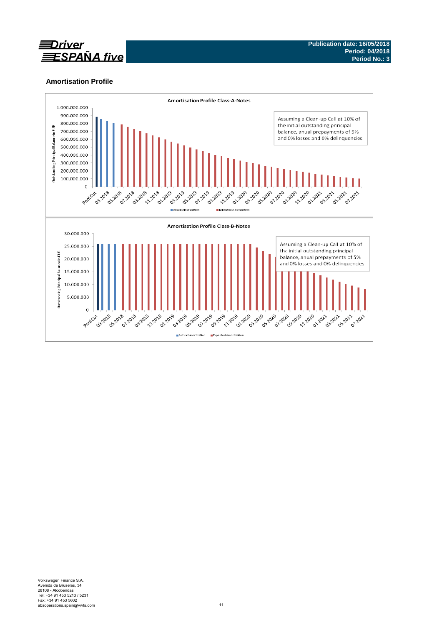

# **Amortisation Profile**

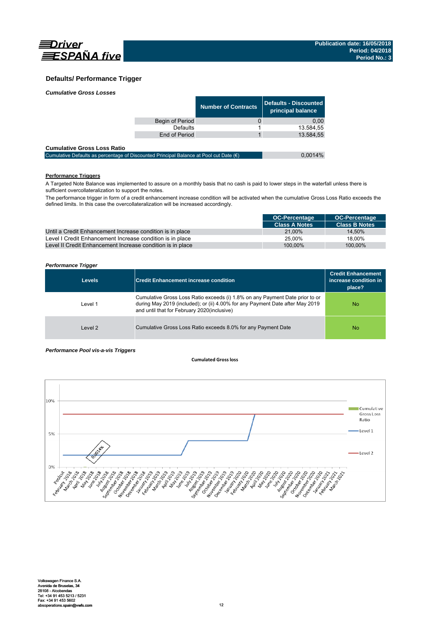

# **Defaults/ Performance Trigger**

| <b>Cumulative Gross Losses</b> |                 |                     |                                            |
|--------------------------------|-----------------|---------------------|--------------------------------------------|
|                                |                 | Number of Contracts | Defaults - Discounted<br>principal balance |
|                                | Begin of Period |                     | 0.00                                       |
|                                | Defaults        |                     | 13.584,55                                  |
|                                | End of Period   |                     | 13.584.55                                  |
| .                              |                 |                     |                                            |

| <b>Cumulative Gross Loss Ratio</b>                                                              |         |
|-------------------------------------------------------------------------------------------------|---------|
| Cumulative Defaults as percentage of Discounted Principal Balance at Pool cut Date $(\epsilon)$ | 0.0014% |

## **Performance Triggers**

A Targeted Note Balance was implemented to assure on a monthly basis that no cash is paid to lower steps in the waterfall unless there is sufficient overcollateralization to support the notes.

The performance trigger in form of a credit enhancement increase condition will be activated when the cumulative Gross Loss Ratio exceeds the defined limits. In this case the overcollateralization will be increased accordingly.

|                                                            | <b>OC-Percentage</b> | <b>OC-Percentage</b> |
|------------------------------------------------------------|----------------------|----------------------|
|                                                            | <b>Class A Notes</b> | <b>Class B Notes</b> |
| Until a Credit Enhancement Increase condition is in place  | 21.00%               | 14.50%               |
| Level I Credit Enhancement Increase condition is in place  | 25.00%               | 18.00%               |
| Level II Credit Enhancement Increase condition is in place | 100.00%              | 100.00%              |

### *Performance Trigger*

| <b>Levels</b> | <b>Credit Enhancement increase condition</b>                                                                                                                                                                 | <b>Credit Enhancement</b><br>increase condition in<br>place? |
|---------------|--------------------------------------------------------------------------------------------------------------------------------------------------------------------------------------------------------------|--------------------------------------------------------------|
| Level 1       | Cumulative Gross Loss Ratio exceeds (i) 1.8% on any Payment Date prior to or<br>during May 2019 (included); or (ii) 4.00% for any Payment Date after May 2019<br>and until that for February 2020(inclusive) | <b>No</b>                                                    |
| Level 2       | Cumulative Gross Loss Ratio exceeds 8.0% for any Payment Date                                                                                                                                                | No                                                           |

### *Performance Pool vis-a-vis Triggers*

### **Cumulated Grossloss**

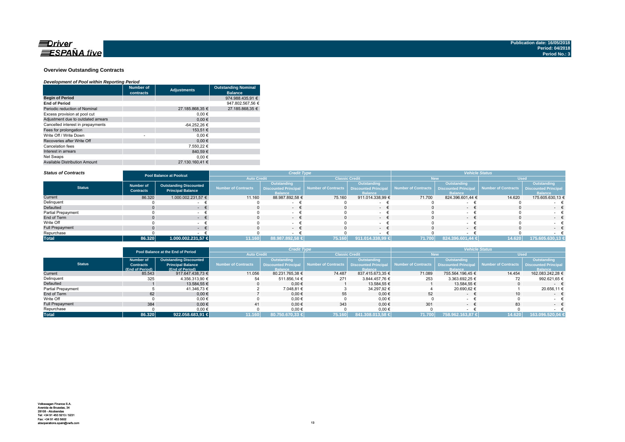

### **Overview Outstanding Contracts**

### *Development of Pool within Reporting Period*

|                                      | <b>Number of</b><br>contracts | <b>Adjustments</b> | <b>Outstanding Nominal</b><br><b>Balance</b> |
|--------------------------------------|-------------------------------|--------------------|----------------------------------------------|
| <b>Begin of Period</b>               |                               |                    | 974.988.435.91 €                             |
| <b>End of Period</b>                 |                               |                    | 947.802.567.56 €                             |
| Periodic reduction of Nominal        |                               | 27.185.868,35 €    | 27.185.868.35 €                              |
| Excess provision at pool cut         |                               | 0.00€              |                                              |
| Adjustment due to outdated arrears   |                               | 0.00€              |                                              |
| Cancelled interest in prepayments    |                               | -64.252,26 €       |                                              |
| Fees for prolongation                |                               | 153.51 €           |                                              |
| Write Off / Write Down               | ٠                             | 0.00€              |                                              |
| Recoveries after Write Off           |                               | 0.00€              |                                              |
| Cancelation fees                     |                               | 7.550.22 €         |                                              |
| Interest in arrears                  |                               | 840.59€            |                                              |
| Net Swaps                            |                               | 0.00€              |                                              |
| <b>Available Distribution Amount</b> |                               | 27.130.160.41 €    |                                              |

#### *Status of Contracts*

| <b>Status of Contracts</b> | <b>Pool Balance at Poolcut</b>       |                                                           | <b>Credit Type</b>  |                                                                     |                       |                                                                    | <b>Vehicle Status</b> |                                                              |                                          |                               |
|----------------------------|--------------------------------------|-----------------------------------------------------------|---------------------|---------------------------------------------------------------------|-----------------------|--------------------------------------------------------------------|-----------------------|--------------------------------------------------------------|------------------------------------------|-------------------------------|
|                            |                                      |                                                           | <b>Auto Credit</b>  |                                                                     | <b>Classic Credit</b> |                                                                    |                       |                                                              | <b>Used</b>                              |                               |
| <b>Status</b>              | <b>Number of</b><br><b>Contracts</b> | <b>Outstanding Discounted</b><br><b>Principal Balance</b> | Number of Contracts | <b>Outstanding</b><br><b>Discounted Principal</b><br><b>Balance</b> | Number of Contracts   | <b>Outstanding</b><br><b>Discounted Principa</b><br><b>Balance</b> | Number of Contracts   | Outstanding<br><b>Discounted Principal</b><br><b>Ralance</b> | Number of Contracts Discounted Principal | Outstanding<br><b>Balance</b> |
| Current                    | 86.320                               | 1.000.002.231,57 €                                        | 11.160              | 88.987.892,58 €                                                     | 75.160                | 911.014.338,99 €                                                   | 71.700                | 824.396.601.44 €                                             | 14.620                                   | 175.605.630,13 €              |
| Delinquent                 |                                      |                                                           |                     |                                                                     |                       |                                                                    |                       |                                                              |                                          |                               |
| <b>Defaulted</b>           |                                      |                                                           |                     | $\sim$                                                              |                       | $\sim$                                                             |                       | $-$                                                          |                                          | $\sim$                        |
| Partial Prepayment         |                                      |                                                           |                     |                                                                     |                       |                                                                    |                       |                                                              |                                          |                               |
| End of Term                |                                      | $\sim$                                                    |                     | $-1$                                                                |                       | $\sim$                                                             |                       | $\sim$                                                       |                                          | $-1$                          |
| Write Off                  |                                      |                                                           |                     | $\sim$                                                              |                       |                                                                    |                       |                                                              |                                          | $-$                           |
| <b>Full Prepayment</b>     |                                      |                                                           |                     | $ +$                                                                |                       | $\sim$                                                             |                       |                                                              |                                          | $-$                           |
| Repurchase                 |                                      |                                                           |                     |                                                                     |                       |                                                                    |                       |                                                              |                                          |                               |
| <b>Total</b>               | 86.320                               | 1.000.002.231,57 €                                        | 11.160              | 88.987.892,58 €                                                     | 75.160                | 911.014.338,99 €                                                   | 71.700                | 824.396.601,44 €                                             | 14.620                                   | 175.605.630,13 €              |

|                        | Pool Balance at the End of Period |                               | <b>Credit Type</b>  |                             |                                            |                  | <b>Vehicle Status</b> |                                                 |                 |                             |  |
|------------------------|-----------------------------------|-------------------------------|---------------------|-----------------------------|--------------------------------------------|------------------|-----------------------|-------------------------------------------------|-----------------|-----------------------------|--|
|                        |                                   |                               | <b>Auto Credit</b>  |                             | <b>Classic Credit</b>                      |                  |                       | New                                             | <b>Used</b>     |                             |  |
|                        | <b>Number of</b>                  | <b>Outstanding Discounted</b> |                     | Outstanding                 |                                            | Outstanding      |                       | Outstanding                                     |                 | Outstanding                 |  |
| <b>Status</b>          | <b>Contracts</b>                  | <b>Principal Balance</b>      | Number of Contracts | <b>Discounted Principal</b> | Number of Contracts   Discounted Principal |                  | Number of Contracts   | <b>Discounted Principal Number of Contracts</b> |                 | <b>Discounted Principal</b> |  |
|                        | (End of Period)                   | (End of Period)               |                     | <b>Balance</b>              |                                            | <b>Balance</b>   |                       | <b>Ralance</b>                                  |                 | <b>Balance</b>              |  |
| Current                | 85.543                            | 917.647.438.73 €              | 11.056              | 80.231.765.38 €             | 74.487                                     | 837.415.673.35 € | 71.089                | 755.564.196.45 €                                | 14.454          | 162.083.242.28 €            |  |
| Delinquent             | 325                               | 4.356.313.90 €                | 54                  | 511.856.14 €                | 271                                        | 3.844.457.76 €   | 253                   | 3.363.692.25 €                                  | 72              | 992.621.65 €                |  |
| Defaulted              |                                   | 13.584.55 €                   |                     | 0.00€                       |                                            | 13.584.55 €      |                       | 13.584.55 €                                     |                 | $ \epsilon$                 |  |
| Partial Prepayment     |                                   | 41.346,73 €                   |                     | 7.048,81 €                  |                                            | 34.297,92 €      |                       | 20.690.62 €                                     |                 | 20.656,11 €                 |  |
| End of Term            | 62                                | $0,00 \in$                    |                     | $0,00 \in$                  | 55                                         | $0.00 \in$       | 52                    | $\sim$                                          | 10 <sup>°</sup> | $ \pm$                      |  |
| Write Off              |                                   | 0.00€                         |                     | 0,00€                       |                                            | $0,00$ €         |                       |                                                 |                 |                             |  |
| <b>Full Prepayment</b> | 384                               | $0.00 \in$                    | 41                  | $0.00 \in$                  | 343                                        | $0.00 \in$       | 301                   | $\sim$                                          | 83              | $ \epsilon$                 |  |
| Repurchase             |                                   | 0,00€                         |                     | 0,00€                       |                                            | $0,00 \in$       |                       |                                                 |                 |                             |  |
| <b>Total</b>           | 86.320                            | 922.058.683.91 €              | 11.160              | 80.750.670.33 €             | 75.160                                     | 841.308.013.58 € | 71.700                | 758.962.163.87 €                                | 14.620          | 163.096.520,04 €            |  |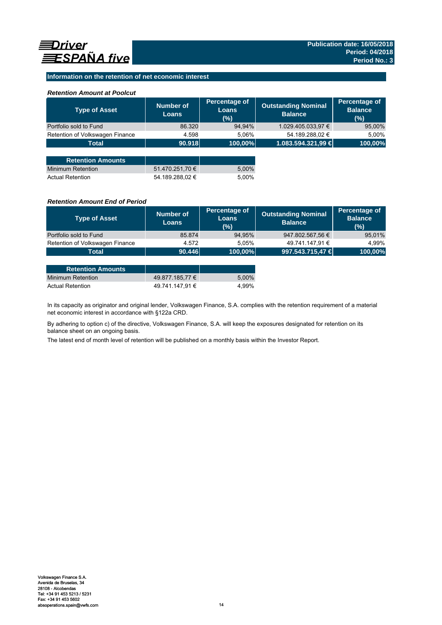## **Information on the retention of net economic interest**

## *Retention Amount at Poolcut*

| <b>Type of Asset</b>            | Number of<br><b>Loans</b> | Percentage of<br><b>Loans</b><br>(%) | <b>Outstanding Nominal</b><br><b>Balance</b> | Percentage of<br><b>Balance</b><br>(%) |
|---------------------------------|---------------------------|--------------------------------------|----------------------------------------------|----------------------------------------|
| Portfolio sold to Fund          | 86.320                    | 94,94%                               | 1.029.405.033,97 €                           | 95,00%                                 |
| Retention of Volkswagen Finance | 4.598                     | 5.06%                                | 54.189.288,02 €                              | 5,00%                                  |
| <b>Total</b>                    | 90.918                    | 100,00%                              | 1.083.594.321,99 €                           | 100,00%                                |
|                                 |                           |                                      |                                              |                                        |
| <b>Retention Amounts</b>        |                           |                                      |                                              |                                        |
| <b>Minimum Retention</b>        | 51.470.251,70 €           | 5,00%                                |                                              |                                        |
| <b>Actual Retention</b>         | 54.189.288.02 €           | 5.00%                                |                                              |                                        |

### *Retention Amount End of Period*

| <b>Type of Asset</b>            | Number of<br><b>Loans</b> | Percentage of<br>Loans<br>(%) | <b>Outstanding Nominal</b><br><b>Balance</b> | Percentage of<br><b>Balance</b><br>(%) |
|---------------------------------|---------------------------|-------------------------------|----------------------------------------------|----------------------------------------|
| Portfolio sold to Fund          | 85.874                    | 94,95%                        | 947.802.567,56 €                             | 95,01%                                 |
| Retention of Volkswagen Finance | 4.572                     | 5.05%                         | 49.741.147,91 €                              | 4.99%                                  |
| Total                           | 90.446                    | $ 100,00\% $                  | 997.543.715,47 €                             | 100,00%                                |

| <b>Retention Amounts</b> |                 |       |
|--------------------------|-----------------|-------|
| Minimum Retention        | 49.877.185.77 € | 5.00% |
| <b>Actual Retention</b>  | 49.741.147.91 € | 4.99% |

In its capacity as originator and original lender, Volkswagen Finance, S.A. complies with the retention requirement of a material net economic interest in accordance with §122a CRD.

By adhering to option c) of the directive, Volkswagen Finance, S.A. will keep the exposures designated for retention on its balance sheet on an ongoing basis.

The latest end of month level of retention will be published on a monthly basis within the Investor Report.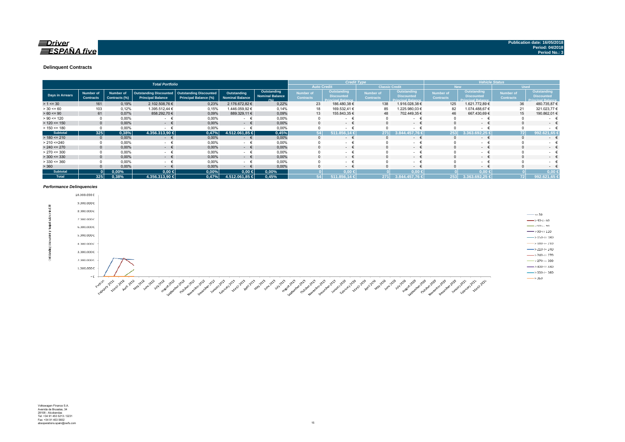#### **Delinquent Contracts**

|                 | <b>Total Portfolio</b>               |                                   |                                                           |                                                               |                                       |                                               | <b>Credit Type</b>            |                                                              |                                      |                                                              | <b>Vehicle Status</b>         |                                                              |                                      |                                                              |
|-----------------|--------------------------------------|-----------------------------------|-----------------------------------------------------------|---------------------------------------------------------------|---------------------------------------|-----------------------------------------------|-------------------------------|--------------------------------------------------------------|--------------------------------------|--------------------------------------------------------------|-------------------------------|--------------------------------------------------------------|--------------------------------------|--------------------------------------------------------------|
|                 |                                      |                                   |                                                           |                                                               |                                       |                                               |                               | <b>Auto Credit</b>                                           | <b>Classic Credit</b>                |                                                              |                               | <b>New</b>                                                   |                                      | <b>Used</b>                                                  |
| Days in Arrears | <b>Number of</b><br><b>Contracts</b> | <b>Number of</b><br>Contracts (%) | <b>Outstanding Discounted</b><br><b>Principal Balance</b> | <b>Outstanding Discounted</b><br><b>Principal Balance (%)</b> | Outstanding<br><b>Nominal Balance</b> | Outstanding<br><b>Nominal Balance</b><br>10/1 | Number of<br><b>Contracts</b> | Outstanding<br><b>Discounted</b><br><b>Principal Balance</b> | <b>Number of</b><br><b>Contracts</b> | Outstanding<br><b>Discounted</b><br><b>Princinal Ralance</b> | Number of<br><b>Contracts</b> | Outstanding<br><b>Discounted</b><br><b>Princinal Ralance</b> | <b>Number of</b><br><b>Contracts</b> | Outstanding<br><b>Discounted</b><br><b>Princinal Balance</b> |
| $> 1 \le 30$    | 161                                  | 0,19%                             | 2.102.508,76 €                                            | 0,23%                                                         | 2.176.672,82 €                        | 0,22%                                         | 23                            | 186.480,38 €                                                 | 138                                  | 1.916.028,38 €                                               | 125                           | 1.621.772,89 €                                               | 36                                   | 480.735,876                                                  |
| $> 30 \le 60$   | 103                                  | 0,12%                             | 1.395.512,44 €                                            | 0,15%                                                         | 1.446.059,92 €                        | 0,14%                                         | 18                            | 169.532,41 €                                                 | 85                                   | .225.980,03 €                                                | 82                            | .074.488,67 €                                                | 21                                   | 321.023,77 €                                                 |
| $> 60 \le 90$   | 61                                   | 0,07%                             | 858.292,70 €                                              | 0,09%                                                         | 889.329,11 €                          | 0,09%                                         | 13                            | 155.843,35 €                                                 | 48                                   | 702.449,35 €                                                 | 46                            | 667.430,69 €                                                 | 15                                   | 190.862,01 €                                                 |
| $> 90 \le 120$  |                                      | 0,00%                             | $\sim$                                                    | 0,00%                                                         | $\sim$                                | 0,00%                                         |                               | $\sim$                                                       |                                      | $\sim$                                                       |                               | $\sim$                                                       |                                      | $\sim$                                                       |
| $> 120 \le 150$ | $\Omega$                             | 0,00%                             | $ \epsilon$                                               | 0,00%                                                         | $ \epsilon$                           | 0,00%                                         |                               | $\sim$ 100 $\mu$                                             |                                      | $-1$                                                         |                               | $ \epsilon$                                                  | $\Omega$                             | $\sim$                                                       |
| $> 150 \le 180$ |                                      | 0,00%                             |                                                           | 0,00%                                                         | $\sim$                                | 0,00%                                         |                               | $\sim$                                                       |                                      | $\sim$                                                       |                               | ۰                                                            |                                      |                                                              |
| <b>Subtotal</b> | 325                                  | 0,38%                             | 4.356.313,90 €                                            | 0.47%                                                         | 4.512.061,85 €                        | 0,45%                                         | 54                            | 511.856.14 €                                                 | 271                                  | 8.844.457.76                                                 | 253                           | 1.363.692.25                                                 | 72                                   | 92.621.65                                                    |
| $> 180 \le 210$ | $\Omega$                             | 0,00%                             | €<br>$\sim$ 100 $\mu$                                     | 0,00%                                                         | €<br>$\sim$                           | 0,00%                                         |                               | $\sim$                                                       |                                      | $  -$                                                        |                               | $ \epsilon$                                                  | $\Omega$                             | $\sim$                                                       |
| > 210 < 240     |                                      | 0,00%                             | $\sim$                                                    | 0,00%                                                         | $\sim$                                | 0,00%                                         |                               | $\sim$                                                       |                                      | $\sim$                                                       |                               | $\sim$                                                       |                                      | ۰                                                            |
| $> 240 \le 270$ |                                      | 0,00%                             | $ \epsilon$                                               | 0,00%                                                         | $\epsilon$<br>$\sim$                  | 0,00%                                         |                               | $\sim$                                                       |                                      | $ \epsilon$                                                  |                               | $ \epsilon$                                                  | $\Omega$                             | $\sim$                                                       |
| $> 270 \le 300$ |                                      | 0,00%                             | <b>Service</b>                                            | 0,00%                                                         | $\sim$                                | 0,00%                                         |                               | $\sim$                                                       |                                      | $\sim$                                                       |                               | - +                                                          |                                      | $\sim$                                                       |
| $>$ 300 <= 330  | $\Omega$                             | 0,00%                             | $ \epsilon$                                               | 0,00%                                                         | $ \epsilon$                           | 0,00%                                         | 0                             | $\sim$ 100 $\mu$                                             |                                      | $ \epsilon$                                                  |                               | $ \epsilon$                                                  | $\Omega$                             | $\sim$ 100 $\mu$                                             |
| $> 330 \le 360$ |                                      | 0,00%                             | $\sim$                                                    | 0,00%                                                         | - €                                   | 0,00%                                         |                               | <b>Contract Contract</b>                                     |                                      | $\sim$                                                       |                               | $ \epsilon$                                                  |                                      | . .                                                          |
| > 360           |                                      | 0,00%                             | $\sim$                                                    | 0,00%                                                         | $\sim$                                | 0,00%                                         |                               | $\sim$ 100 $\mu$                                             |                                      | $-1$                                                         |                               | $ \epsilon$                                                  |                                      | $\sim$                                                       |
| <b>Subtotal</b> |                                      | $0.00\%$                          | $0,00$ €                                                  | 0,00%                                                         | $0,00$ ∈                              | 0,00%                                         |                               | $0.00 \leq$                                                  |                                      | $0.00*$                                                      |                               | $0.00 \le$                                                   |                                      | 0.00                                                         |
| <b>Total</b>    | 325                                  | 0.38%                             | 4.356.313.90 €                                            | 0,47%                                                         | 4.512.061.85 €                        | 0,45%                                         |                               | 511.856.14 €                                                 | 271                                  | 3.844.457.76 €                                               | 253                           | 3.363.692.25                                                 | 72                                   | 992.621,65 €                                                 |

#### *Performance Delinquencies*

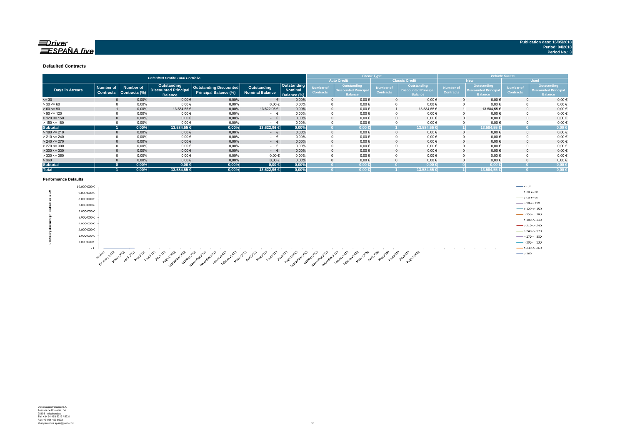### $\equiv$ Driver  $\equiv$ SPAÑA five

#### **Defaulted Contracts**

|                        |                                      |                                   | <b>Defaulted Profile Total Portfolio</b>                            |                                                        |                                |                                              | <b>Credit Type</b>            |                                                              |                               |                                                              | <b>Vehicle Status</b>         |                                                                    |                                      |                                                             |
|------------------------|--------------------------------------|-----------------------------------|---------------------------------------------------------------------|--------------------------------------------------------|--------------------------------|----------------------------------------------|-------------------------------|--------------------------------------------------------------|-------------------------------|--------------------------------------------------------------|-------------------------------|--------------------------------------------------------------------|--------------------------------------|-------------------------------------------------------------|
|                        |                                      |                                   |                                                                     |                                                        |                                |                                              |                               | <b>Auto Credit</b>                                           |                               | <b>Classic Credit</b>                                        |                               | <b>New</b>                                                         |                                      | <b>Used</b>                                                 |
| <b>Days in Arrears</b> | <b>Number of</b><br><b>Contracts</b> | <b>Number of</b><br>Contracts (%) | <b>Outstanding</b><br><b>Discounted Principal</b><br><b>Balance</b> | Outstanding Discounted<br><b>Principal Balance (%)</b> | Outstanding<br>Nominal Balance | Outstanding<br><b>Nominal</b><br>Balance (%) | Number of<br><b>Contracts</b> | Outstanding<br><b>Discounted Principal</b><br><b>Balance</b> | Number of<br><b>Contracts</b> | Outstanding<br><b>Discounted Principal</b><br><b>Balance</b> | Number of<br><b>Contracts</b> | <b>Outstanding</b><br><b>Discounted Principa</b><br><b>Balance</b> | <b>Number of</b><br><b>Contracts</b> | Outstanding<br><b>Discounted Principa</b><br><b>Balance</b> |
| $= 30$                 |                                      | 0,00%                             | $0,00$ €                                                            | 0,00%                                                  | $ \epsilon$                    | 0,00%                                        |                               | $0,00 \in$                                                   |                               | $0.00 \in$                                                   |                               | $0,00 \in$                                                         |                                      | 0,00€                                                       |
| $> 30 \le 60$          |                                      | 0,00%                             | $0,00$ €                                                            | 0,00%                                                  | $0.00 \in$                     | 0.00%                                        |                               | $0,00 \in$                                                   |                               | $0,00$ €                                                     |                               | $0,00 \in$                                                         |                                      | $0,00 \in$                                                  |
| $> 60 \le 90$          |                                      | 0,00%                             | 13.584,55 €                                                         | 0,00%                                                  | 13.622,96 €                    | 0,00%                                        |                               | $0,00 \in$                                                   |                               | 13.584,55 €                                                  |                               | 13.584,55 €                                                        |                                      | $0,00 \in$                                                  |
| $> 90 \le 120$         |                                      | 0,00%                             | $0,00$ €                                                            | 0,00%                                                  | $ \pm$                         | 0,00%                                        |                               | $0,00 \in$                                                   |                               | $0,00 \in$                                                   |                               | $0,00 \in$                                                         |                                      | $0,00$ €                                                    |
| $> 120 \le 150$        |                                      | 0.00%                             | $0,00$ €                                                            | 0.00%                                                  | $ \epsilon$                    | 0.00%                                        |                               | $0,00 \in$                                                   |                               | $0.00 \in$                                                   |                               | $0.00 \in$                                                         |                                      | $0,00 \in$                                                  |
| $> 150 \le 180$        |                                      | 0.00%                             | 0.00€                                                               | 0.00%                                                  | $ \pm$                         | 0.00%                                        |                               | $0,00 \in$                                                   |                               | $0,00 \in$                                                   |                               | $0,00 \in$                                                         |                                      | $0,00 \in$                                                  |
| <b>Subtotal</b>        |                                      | 0,00%                             | 13.584,55 €                                                         | 0,00%                                                  | 13.622,96 €                    | 0,00%                                        |                               | $0.00 \in$                                                   |                               | 13.584,55                                                    |                               | 13.584,55 €                                                        |                                      | 0,00 <sub>6</sub>                                           |
| $> 180 \le 210$        |                                      | 0,00%                             | $0,00$ €                                                            | 0,00%                                                  | $ \epsilon$                    | 0.00%                                        |                               | $0,00 \in$                                                   |                               | $0.00 \in$                                                   |                               | $0,00 \in$                                                         |                                      | $0,00 \in$                                                  |
| $> 210 \le 240$        |                                      | 0,00%                             | $0,00$ €                                                            | 0,00%                                                  | $ \pm$                         | 0,00%                                        |                               | $0,00 \in$                                                   |                               | $0,00 \in$                                                   |                               | $0,00 \in$                                                         |                                      | $0,00 \in$                                                  |
| $> 240 \le 270$        |                                      | 0,00%                             | $0,00$ €                                                            | 0,00%                                                  | $ \epsilon$                    | 0.00%                                        |                               | $0,00 \in$                                                   |                               | $0,00 \in$                                                   |                               | $0,00 \in$                                                         |                                      | $0,00 \in$                                                  |
| $> 270 \le 300$        |                                      | 0,00%                             | $0,00$ €                                                            | 0,00%                                                  | $ \epsilon$                    | 0.00%                                        |                               | $0,00 \in$                                                   |                               | $0,00 \in$                                                   |                               | $0.00 \in$                                                         |                                      | $0,00 \in$                                                  |
| $>$ 300 <= 330         |                                      | 0,00%                             | $0,00$ €                                                            | 0,00%                                                  | $ \epsilon$                    | 0.00%                                        |                               | $0,00 \in$                                                   |                               | $0.00 \in$                                                   |                               | $0,00 \in$                                                         |                                      | $0,00 \in$                                                  |
| $>$ 330 <= 360         |                                      | 0,00%                             | $0,00$ €                                                            | 0.00%                                                  | 0.00€                          | 0.00%                                        |                               | $0,00 \in$                                                   |                               | $0.00 \in$                                                   |                               | $0.00 \in$                                                         |                                      | $0,00 \in$                                                  |
| > 360                  |                                      | 0,00%                             | $0,00$ €                                                            | 0,00%                                                  | $0,00 \in$                     | 0,00%                                        |                               | $0,00 \in$                                                   |                               | $0,00 \in$                                                   |                               | $0,00 \in$                                                         |                                      | $0,00 \in$                                                  |
| <b>Subtotal</b>        |                                      | 0,00%                             | $0,00 \in$                                                          | 0,00%                                                  | $0,00 \in$                     | 0,00%                                        |                               | $0,00 \in$                                                   |                               | $0.00 \in$                                                   |                               | $0,00 \in$                                                         |                                      | 0,00                                                        |
| <b>Total</b>           |                                      | 0,00%                             | 13.584,55 €                                                         | 0,00%                                                  | 13.622,96 €                    | 0.00%                                        |                               | $0,00 \in$                                                   |                               | 13.584,55 €                                                  |                               | 13.584,55 €                                                        |                                      | 0,00                                                        |

#### **Performance Defaults**

|    | 10.000.000€                                                                                                                                                                                                                                                                                                                                                                                                                                            | $\leftarrow$ <= 30                   |
|----|--------------------------------------------------------------------------------------------------------------------------------------------------------------------------------------------------------------------------------------------------------------------------------------------------------------------------------------------------------------------------------------------------------------------------------------------------------|--------------------------------------|
| ă. | $9.000.000 \in$                                                                                                                                                                                                                                                                                                                                                                                                                                        | $\rightarrow$ 30 $\sim$ 60           |
|    | 8.000.000€                                                                                                                                                                                                                                                                                                                                                                                                                                             | $\rightarrow 60 \Leftarrow 90$       |
|    | 7.000.000 €                                                                                                                                                                                                                                                                                                                                                                                                                                            | $ \rightarrow$ 90 $\sim$ 120         |
|    | 6.000.000€                                                                                                                                                                                                                                                                                                                                                                                                                                             | $\longrightarrow$ 120 <= 150         |
|    |                                                                                                                                                                                                                                                                                                                                                                                                                                                        | $ > 150 < 180$                       |
|    | 5.000.000€                                                                                                                                                                                                                                                                                                                                                                                                                                             | $-$ >180 <- 210                      |
|    | 4.000.000 €                                                                                                                                                                                                                                                                                                                                                                                                                                            | $\longrightarrow$ 210 <= 240         |
|    | 3.000.000€                                                                                                                                                                                                                                                                                                                                                                                                                                             | $\rightarrow$ 240 <= 270             |
|    | 2.000.000 €                                                                                                                                                                                                                                                                                                                                                                                                                                            | $\frac{1}{2}$ > 2.70 <= 3.00         |
|    | 1.000.000K                                                                                                                                                                                                                                                                                                                                                                                                                                             | $\longrightarrow 300 \leftarrow 330$ |
|    | $ \epsilon$<br>$  -$<br>___<br><b>Contract Contract</b>                                                                                                                                                                                                                                                                                                                                                                                                | $\longrightarrow$ 330 <= 360         |
|    | $\mathcal{A}^{\mathcal{D}}$<br>న్<br>s 2<br>$\mathcal{R}^{\mathcal{P}}$<br>- 8<br>⋰<br>್<br>-∞°<br>ని<br>ూ<br>- 1929.<br>$\mathcal{A}^{\circ}$<br>$\mathcal{S}^{\mathcal{P}}$<br>$\mathcal{S}^{\mathcal{P}}$<br>-62<br>చి<br>- 42 - 42<br>$\sigma^2$<br>- 38<br>$\mathcal{A}^{\mathcal{P}}$<br>$\mathcal{S}^{\mathcal{P}}$<br>$\mathcal{S}^{\mathcal{P}}$<br>- 1997<br>∽<br>- 33<br>ో<br>$\mathcal{S}^{\mathcal{P}}$<br>.ో<br>- 65<br>.∻°<br>$-6^{12}$ | $\longrightarrow 360$                |

A SOUTH AND SOUTH AND SOUTH AND SOUTH AND SOUTH AND SOUTH AND SOUTH AND SOUTH AND SOUTH AND SOUTH AND SOUTH AND SOUTH AND SOUTH AND SOUTH AND SOUTH AND SOUTH AND SOUTH AND SOUTH AND SOUTH AND SOUTH AND SOUTH AND SOUTH AND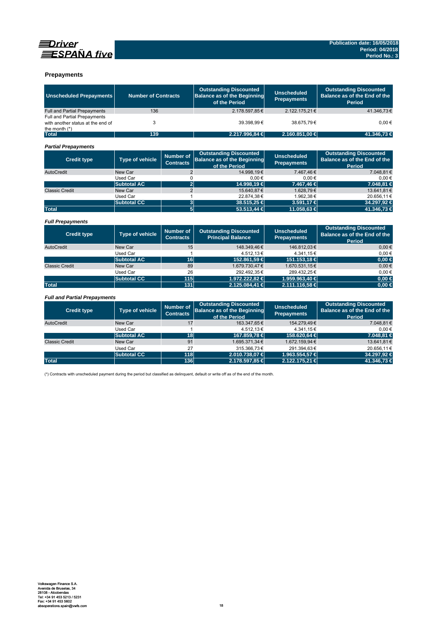



### **Prepayments**

| <b>Unscheduled Prepayments</b>                                                       | <b>Number of Contracts</b> |                                      | <b>Outstanding Discounted</b><br><b>Balance as of the Beginning</b><br>of the Period | <b>Unscheduled</b><br><b>Prepayments</b> | <b>Outstanding Discounted</b><br>Balance as of the End of the<br>Period        |
|--------------------------------------------------------------------------------------|----------------------------|--------------------------------------|--------------------------------------------------------------------------------------|------------------------------------------|--------------------------------------------------------------------------------|
| Full and Partial Prepayments                                                         | 136                        |                                      | 2.178.597,85€                                                                        | 2.122.175.21€                            | 41.346.73€                                                                     |
| Full and Partial Prepayments<br>with another status at the end of<br>the month $(*)$ | 3                          |                                      | 39.398.99€                                                                           | 38.675.79€                               | $0.00 \in$                                                                     |
| <b>Total</b>                                                                         | 139                        |                                      | 2.217.996,84 €                                                                       | 2.160.851,00 €                           | 41.346,73 €                                                                    |
| <b>Partial Prepayments</b>                                                           |                            |                                      |                                                                                      |                                          |                                                                                |
| <b>Credit type</b>                                                                   | <b>Type of vehicle</b>     | <b>Number of</b><br><b>Contracts</b> | <b>Outstanding Discounted</b><br><b>Balance as of the Beginning</b><br>of the Period | <b>Unscheduled</b><br><b>Prepayments</b> | <b>Outstanding Discounted</b><br>Balance as of the End of the<br><b>Period</b> |
| AutoCredit                                                                           | New Car                    | $\overline{2}$                       | 14.998,19€                                                                           | 7.467.46€                                | 7.048.81€                                                                      |
|                                                                                      | <b>Used Car</b>            | 0                                    | $0,00 \in$                                                                           | $0.00 \in$                               | $0.00 \in$                                                                     |
|                                                                                      | <b>Subtotal AC</b>         | $\overline{2}$                       | 14.998,19 €                                                                          | 7.467,46 €                               | 7.048,81 €                                                                     |
| <b>Classic Credit</b>                                                                | New Car                    | $\overline{2}$                       | 15.640.87 €                                                                          | 1.628.79€                                | 13.641,81€                                                                     |
|                                                                                      | Used Car                   | 1                                    | 22.874.38€                                                                           | 1.962.38€                                | 20.656.11€                                                                     |
|                                                                                      | <b>Subtotal CC</b>         | $\mathbf{3}$                         | 38.515,25 €                                                                          | 3.591,17 €                               | 34.297,92 €                                                                    |
| <b>Total</b>                                                                         |                            | $\overline{5}$                       | 53.513,44 €                                                                          | 11.058,63 €                              | 41.346,73 €                                                                    |
| <b>Full Prepayments</b>                                                              |                            |                                      |                                                                                      |                                          |                                                                                |
| <b>Credit type</b>                                                                   | <b>Type of vehicle</b>     | <b>Number of</b><br><b>Contracts</b> | <b>Outstanding Discounted</b><br><b>Principal Balance</b>                            | <b>Unscheduled</b><br><b>Prepayments</b> | <b>Outstanding Discounted</b><br>Balance as of the End of the<br><b>Period</b> |
| AutoCredit                                                                           | New Car                    | 15                                   | 148.349,46€                                                                          | 146.812.03€                              | $0.00 \in$                                                                     |
|                                                                                      | <b>Used Car</b>            | 1                                    | 4.512.13€                                                                            | 4.341.15€                                | 0.00€                                                                          |
|                                                                                      | <b>Subtotal AC</b>         | 16                                   | 152,861,59 €                                                                         | 151.153.18 €                             | $0.00 \in$                                                                     |
| <b>Classic Credit</b>                                                                | New Car                    | 89                                   | 1.679.730,47€                                                                        | 1.670.531,15€                            | $0,00 \in$                                                                     |
|                                                                                      | Used Car                   | 26                                   | 292.492,35€                                                                          | 289.432.25€                              | $0,00 \in$                                                                     |
|                                                                                      | <b>Subtotal CC</b>         | 115                                  | 1.972.222,82 €                                                                       | 1.959.963,40 €                           | $0.00 \in$                                                                     |
| <b>Total</b>                                                                         |                            | 131                                  | 2.125.084,41 €                                                                       | 2.111.116,58 €                           | $0,00 \in$                                                                     |
| <b>Full and Partial Prepayments</b>                                                  |                            |                                      |                                                                                      |                                          |                                                                                |
| <b>Credit type</b>                                                                   | Type of vehicle            | <b>Number of</b><br><b>Contracts</b> | <b>Outstanding Discounted</b><br><b>Balance as of the Beginning</b><br>of the Period | <b>Unscheduled</b><br><b>Prepayments</b> | <b>Outstanding Discounted</b><br>Balance as of the End of the<br>Period        |
| AutoCredit                                                                           | New Car                    | 17                                   | 163.347,65€                                                                          | 154.279,49€                              | 7.048.81 €                                                                     |
|                                                                                      | Used Car                   | 1                                    | 4.512.13€                                                                            | 4.341,15€                                | 0.00€                                                                          |
|                                                                                      | <b>Subtotal AC</b>         | 18                                   | 167.859,78 €                                                                         | 158.620,64 €                             | 7.048.81 €                                                                     |

Classic Credit New Car 91 1.695.371,34 € 1.672.159,94 € 1.672.159,94 € 1.672.159,94 € 1.672.159,94 € 1.672.159,94 € 1.672.159,94 € 1.672.159,94 € 1.672.159,94 € 1.672.159,94 € 1.672.159,94 € 1.672.159,94 € 1.672.159,94 €

**Total 136 2.178.597,85 € 2.122.175,21 € 41.346,73 €**

Used Car 27 315.366,73 € 291.394,63 € 20.656,11 € **Subtotal CC 118 2.010.738,07 € 1.963.554,57 € 34.297,92 €**

(\*) Contracts with unscheduled payment during the period but classified as delinquent, default or write off as of the end of the month.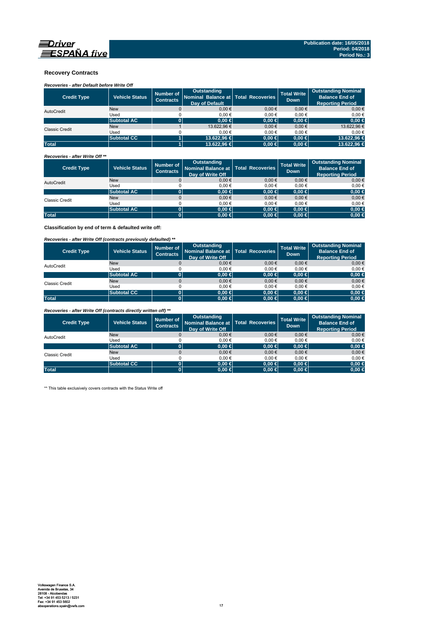

### **Recovery Contracts**

# *Recoveries - after Default before Write Off*

| <b>Credit Type</b>    | <b>Vehicle Status</b> | Number of<br><b>Contracts</b> | Outstanding<br>Nominal Balance at   Total Recoveries<br><b>Dav of Default</b> |            | <b>Total Write</b><br><b>Down</b> | <b>Outstanding Nominal</b><br><b>Balance End of</b><br><b>Reporting Period</b> |
|-----------------------|-----------------------|-------------------------------|-------------------------------------------------------------------------------|------------|-----------------------------------|--------------------------------------------------------------------------------|
| AutoCredit            | <b>New</b>            |                               | 0.00 €                                                                        | $0.00 \in$ | $0.00 \in$                        | 0.00€                                                                          |
|                       | Used                  |                               | 0.00€                                                                         | 0.00€      | 0.00€                             | $0.00 \in$                                                                     |
|                       | <b>Subtotal AC</b>    |                               | $0.00 \in$                                                                    | $0.00 \in$ | $0.00 \in$                        | $0,00$ €                                                                       |
| <b>Classic Credit</b> | <b>New</b>            |                               | 13.622.96 €                                                                   | $0.00 \in$ | $0.00 \in$                        | 13.622,96 €                                                                    |
|                       | Used                  |                               | 0.00€                                                                         | 0.00€      | 0.00€                             | $0.00 \in$                                                                     |
|                       | <b>Subtotal CC</b>    |                               | 13,622,96 €                                                                   | $0.00 \in$ | $0.00 \in$                        | 13.622,96 €                                                                    |
| <b>Total</b>          |                       |                               | 13,622,96 €                                                                   | $0,00 \in$ | $0.00 \in$                        | 13.622.96 €                                                                    |

### *Recoveries - after Write Off \*\**

| <b>Credit Type</b>    | <b>Vehicle Status</b> | Number of<br><b>Contracts</b> | Outstanding<br>Nominal Balance at   Total Recoveries<br>Day of Write Off |            | Total Write<br><b>Down</b> | <b>Outstanding Nominal</b><br><b>Balance End of</b><br><b>Reporting Period</b> |
|-----------------------|-----------------------|-------------------------------|--------------------------------------------------------------------------|------------|----------------------------|--------------------------------------------------------------------------------|
| AutoCredit            | <b>New</b>            |                               | $0,00 \in$                                                               | $0.00 \in$ | $0,00 \in$                 | $0,00 \in$                                                                     |
|                       | Used                  |                               | 0.00€                                                                    | 0.00€      | 0.00€                      | 0,00€                                                                          |
|                       | <b>Subtotal AC</b>    |                               | $0.00 \in$                                                               | $0,00 \in$ | $0.00 \in$                 | $0,00 \in$                                                                     |
| <b>Classic Credit</b> | <b>New</b>            |                               | $0.00 \in$                                                               | $0.00 \in$ | $0,00 \in$                 | $0,00 \in$                                                                     |
|                       | Used                  |                               | 0.00€                                                                    | 0.00€      | 0.00€                      | 0,00€                                                                          |
|                       | <b>Subtotal AC</b>    | 01                            | $0.00 \in$                                                               | $0,00 \in$ | $0.00 \in$                 | $0,00 \in$                                                                     |
| <b>Total</b>          |                       |                               | $0.00 \in$                                                               | $0,00 \in$ | $0.00 \in$                 | $0,00 \in$                                                                     |

**Classification by end of term & defaulted write off:**

### *Recoveries - after Write Off (contracts previously defaulted) \*\**

| <b>Credit Type</b> | Vehicle Status     | Number of<br><b>Contracts</b> | <b>Outstanding</b><br>Nominal Balance at   Total Recoveries<br>Day of Write Off |            | <b>Total Write</b><br><b>Down</b> | <b>Outstanding Nominal</b><br><b>Balance End of</b><br><b>Reporting Period</b> |
|--------------------|--------------------|-------------------------------|---------------------------------------------------------------------------------|------------|-----------------------------------|--------------------------------------------------------------------------------|
| AutoCredit         | <b>New</b>         |                               | 0.00€                                                                           | 0.00€      | 0.00€                             | $0.00 \in$                                                                     |
|                    | Used               |                               | 0.00€                                                                           | 0.00€      | 0.00€                             | $0.00 \in$                                                                     |
|                    | <b>Subtotal AC</b> | 0                             | $0.00 \in$                                                                      | $0,00 \in$ | $0.00 \in$                        | $0,00 \in$                                                                     |
| Classic Credit     | <b>New</b>         |                               | 0.00€                                                                           | $0.00 \in$ | 0.00€                             | $0,00 \in$                                                                     |
|                    | Used               |                               | 0.00€                                                                           | 0.00€      | 0.00€                             | $0.00 \in$                                                                     |
|                    | <b>Subtotal CC</b> | 0                             | $0.00 \in$                                                                      | $0,00$ ∈   | $0.00 \in$                        | $0,00 \in$                                                                     |
| <b>Total</b>       |                    | 0                             | $0.00 \in$                                                                      | $0,00 \in$ | $0.00 \in$                        | $0,00 \in$                                                                     |

*Recoveries - after Write Off (contracts directly written off) \*\**

| <b>Credit Type</b>    | <b>Vehicle Status</b> | Number of<br><b>Contracts</b> | <b>Outstanding</b><br>Nominal Balance at   Total Recoveries<br>Day of Write Off |            | <b>Total Write</b><br><b>Down</b> | <b>Outstanding Nominal</b><br><b>Balance End of</b><br><b>Reporting Period</b> |
|-----------------------|-----------------------|-------------------------------|---------------------------------------------------------------------------------|------------|-----------------------------------|--------------------------------------------------------------------------------|
| AutoCredit            | <b>New</b>            |                               | 0.00€                                                                           | 0.00€      | 0.00€                             | $0.00 \in$                                                                     |
|                       | Used                  |                               | 0.00€                                                                           | 0.00€      | 0.00€                             | 0,00€                                                                          |
|                       | <b>Subtotal AC</b>    |                               | $0.00 \in$                                                                      | $0,00 \in$ | $0.00 \in$                        | $0,00 \in$                                                                     |
| <b>Classic Credit</b> | <b>New</b>            |                               | 0.00€                                                                           | $0.00 \in$ | 0.00€                             | $0,00 \in$                                                                     |
|                       | Used                  |                               | 0.00€                                                                           | 0.00€      | 0.00€                             | 0,00€                                                                          |
|                       | <b>Subtotal CC</b>    | 01                            | $0.00 \in$                                                                      | $0.00 \in$ | $0.00 \in$                        | $0,00 \in$                                                                     |
| <b>Total</b>          |                       |                               | $0.00 \in$                                                                      | $0,00 \in$ | $0.00 \in$                        | $0,00 \in$                                                                     |

\*\* This table exclusively covers contracts with the Status Write off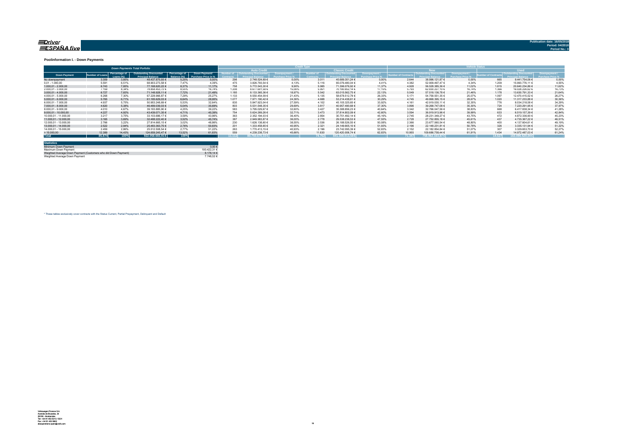#### <u>=Driver</u> ESPAÑA five

**Publication date: 16/05/2018**

#### **Poolinformation I. - Down Payments**

|                       | <b>Down Payments Total Porfolio</b> |                            |                                                           |                               |                                             |        |                                   |        |                  |                        |        |                 | ______                 |        |        |                  |        |
|-----------------------|-------------------------------------|----------------------------|-----------------------------------------------------------|-------------------------------|---------------------------------------------|--------|-----------------------------------|--------|------------------|------------------------|--------|-----------------|------------------------|--------|--------|------------------|--------|
|                       |                                     |                            |                                                           |                               |                                             |        | <b>Auto Credit</b>                |        |                  | <b>Classic Credita</b> |        |                 | <b>RW</b>              |        |        | <b>Head</b>      |        |
| <b>Down Payment</b>   | umber of Loan                       | Percentage of<br>Loang (%) | <b>Outstanding Discounted</b><br><b>Princingl Relance</b> | Percentage of<br>3alance (%). | Down Payment/<br><b>Purchase Price in %</b> |        | umber of   Outstanding Discounted |        | <b>Jumber of</b> | Outstanding Discounted |        | mber of Contrac | Outstanding Discounted |        |        |                  |        |
| No downpayment        | 3.309                               | 3.85%                      | 48.437.875.93 €                                           | 5.25%                         | 0.00%                                       | 298    | 2.748.524.69 €                    | 0.00%  | 3.011            | 45.689.351.24 €        | 0.00%  | 2.644           | 38.996.121.87 €        | 0.00%  | 665    | 9.441.754.06 €   | 0.00%  |
| $0.01 - 1.000.00$     | 5.591                               | 6.51%                      | 68.903.273.58 €                                           | 7.47%                         | 4.39%                                       | 475    | 3.826.793,54 €                    | 4.13%  | 5.116            | 65.076.480.04 €        | 4 4 1% | 4.382           | 52.909.497.47 €        | 4.34%  | 1.209  | 15.993.776.11 €  | 4,55%  |
| $1.000.01 - 2.000.00$ | 6.743                               | 7.85%                      | 77.168.620.22 €                                           | 8.37%                         | 11.17%                                      | 758    | 5.772.543.30 €                    | 9.90%  | 5.985            | 71.396.076.92 €        | 11.37% | 4.928           | 56.528.385.36 €        | 11.02% | 1.815  | 20.640.234.86 €  | 11.62% |
| 2.000.01 - 3.000.00   | 7.159                               | 8.34%                      | 78.858.453.72 €                                           | 8.55%                         | 16.74%                                      | 1.208  | 8.677.601.58 €                    | 15.06% | 5.951            | 70.180.852.14 €        | 17.15% | 5.793           | 62.830.227,10 €        | 16.74% | 1.366  | 16.028.226.62 €  | 16,73% |
| $3.000.01 - 4.000.00$ | 6.727                               | 7.83%                      | 71.148.928.11 €                                           | 7.72%                         | 21,49%                                      | 1.185  | 8.133.365.36 €                    | 18.97% | 5.542            | 63.015.562.75 €        | 22.13% | 5.549           | 57.518.136.78 €        | 21.46% | 1.178  | 13.630.791.33 €  | 21.64% |
| 4.000.01 - 5.000.00   | 6.268                               | 7.30%                      | 67.228.966.87 €                                           | 7.29%                         | 25.27%                                      | 1.133  | 8.550.454.09 €                    | 21.43% | 5.135            | 58.678.512.78 €        | 26.33% | 5.171           | 54.758.551.35 €        | 25.07% | 1.097  | 12.470.415.52 €  | 26,279 |
| $5.000.01 - 6.000.00$ | 5.765                               | 6.71%                      | 61.185.629.03 €                                           | 6.64%                         | 28.95%                                      | 1.077  | 7.971.190.42 €                    | 24.36% | 4.688            | 53.214.438.61 €        | 30.29% | 4.745           | 49.868.395.15 €        | 28.67% | 1.020  | 11.317.233.88 €  | 30,36% |
| 6.000.01 - 7.000.00   | 4.937                               | 5.75%                      | 50.953.248.69 €                                           | 5.53%                         | 32.64%                                      | 835    | 5.847.923.04 €                    | 27.59% | 4.102            | 45.105.325.65 €        | 33.92% | 4.161           | 42.919.030.11 €        | 32.35% | 776    | 8.034.218.58 €   | 34,29% |
| 7.000.01 - 8.000.00   | 4.620                               | 5.38%                      | 46.489.039.03 €                                           | 5.04%                         | 35.69%                                      | 803    | 5.531.548.35 €                    | 29.69% | 3.817            | 40.957.490.68 €        | 37.30% | 3.896           | 39.268.747.08 €        | 35.30% | 724    | 7.220.291.95 €   | 37,97% |
| 8.000.01 - 9.000.00   | 4.010                               | 4.67%                      | 39.183.885.90 €                                           | 4.25%                         | 39.22%                                      | 583    | 3.795.029.67 €                    | 32.60% | 3.427            | 35.388.856.23 €        | 40.64% | 3.342           | 32.766.047.56 €        | 38.83% | 668    | 6.417.838.34 €   | 41.28% |
| 9.000.01 - 10.000.00  | 4.227                               | 4.92%                      | 43.439.071.35 €                                           | 4.71%                         | 40.39%                                      | 754    | 5.624.269.26 €                    | 32.71% | 3.473            | 37.814.802.09 €        | 42.60% | 3.594           | 36.919.913.96 €        | 39.99% | 633    | 6.519.157.39 €   | 42.84% |
| 10.000.01 - 11.000.00 | 3.217                               | 3.75%                      | 33.103.686.17 €                                           | 3.59%                         | 43.96%                                      | 363    | 2.352.194.03 €                    | 36.40% | 2.854            | 30.751.492.14 €        | 45.16% | 2.745           | 28.231.349.27 €        | 43.75% | 472    | 4.872.336.90 €   | 45.23% |
| 11.000.01 - 12.000.00 | 3.165                               | 3.69%                      | 32.488.222.40 €                                           | 3.52%                         | 45.74%                                      | 387    | 2.949.983.87 €                    | 36.00% | 2.778            | 29.538.238.53 €        | 47.55% | 2.728           | 27.752.855.18 €        | 45.61% | 437    | 4.735.367.22 €   | 46.51% |
| 12.000.01 - 13.000.00 | 2.766                               | 3.22%                      | 27.814.665.15 €                                           | 3.02%                         | 48.86%                                      | 230    | 1.626.138,60 €                    | 38.55% | 2.536            | 26.188.526.55 €        | 50.08% | 2.366           | 23.677.060.54 €        | 48.80% | 400    | 4.137.604.61 €   | 49.19% |
| 13.000.01 - 14.000.00 | 2.522                               | 2.94%                      | 25.483.363.75 €                                           | 2,76%                         | 50.83%                                      | 201    | 1.333.458.65 €                    | 40.95% | 2.321            | 24.149.905.10 €        | 51.93% | 2.196           | 22.148.231.81 €        | 50.78% | 326    | 3.335.131.94 €   | 51,22% |
| 14.000.01 - 15.000.00 | 2.459                               | 2.86%                      | 25.512.508.54 €                                           | 2.77%                         | 51.22%                                      | 263    | 1.770.413.15 €                    | 40.93% | 2.196            | 23.742.095.39 €        | 52.83% | 2.152           | 22.182.854.84 €        | 51.07% | 307    | 3.329.653.70 €   | 52.27% |
| >15.000,00            | 12.389                              | 14,43%                     | 124.659.245.47 €                                          | 13.52%                        | 61.83%                                      | 55     | 4.239.238.73 €                    | 45.66% | 11.830           | 120.420.006.74 €       | 62.83% | 10.955          | 109.686.758.44 €       | 61.91% | 1.434  | 14.972.487.03 €  | 61.24% |
| <b>Total</b>          | 85,874                              | 100%                       | 922,058,683,91 €                                          | 100%                          |                                             | 11.112 | 80.750.670.33 €                   |        | 74.762           | $841.308.013.58 \in$   |        | 71.347          | 758.962.163.87 €       |        | 14.527 | 163.096.520,04 € |        |

| <b>Statistics</b>                                              |              |
|----------------------------------------------------------------|--------------|
| Minimum Down Payment                                           | 0.00E        |
| Maximum Down Payment                                           | 100 422 31 6 |
| Weighted Average Down Payment (Customers who did Down Payment) | 8 178 14 €   |
| Weighted Average Down Payment                                  | 7.748.52 €   |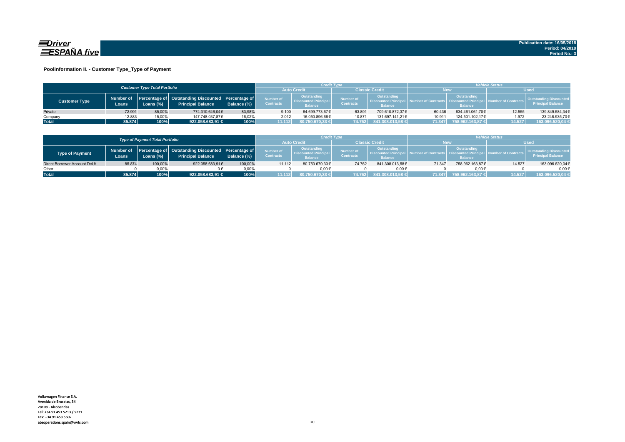

### **Poolinformation II. - Customer Type\_Type of Payment**

|                      |                     | <b>Customer Type Total Portfolio</b> |                                                                                    |             |                               | Credit Type                                                  |                               |                                                                    | <b>Vehicle Status</b> |                                                                          |                        |                                                           |  |
|----------------------|---------------------|--------------------------------------|------------------------------------------------------------------------------------|-------------|-------------------------------|--------------------------------------------------------------|-------------------------------|--------------------------------------------------------------------|-----------------------|--------------------------------------------------------------------------|------------------------|-----------------------------------------------------------|--|
|                      |                     |                                      |                                                                                    |             | <b>Auto Credi</b>             |                                                              | Classic Credit                |                                                                    | <b>New</b>            |                                                                          | <b>Used</b>            |                                                           |  |
| <b>Customer Type</b> | Number of<br>Loans. | Loans (%)                            | Percentage of   Outstanding Discounted   Percentage of<br><b>Principal Balance</b> | Balance (%) | Number of<br><b>Contracts</b> | Outstanding<br><b>Discounted Principal</b><br><b>Balance</b> | Number of<br><b>Contracts</b> | <b>Outstanding</b><br><b>Discounted Principa</b><br><b>Balance</b> |                       | Outstanding<br>umber of Contracts丨 Discounted Principa<br><b>Balance</b> | al Number of Contracts | <b>Outstanding Discounted</b><br><b>Principal Balance</b> |  |
| Private              | 72.991              | 85.00%                               | 774.310.646.04€                                                                    | 83.98%      | 9.100                         | 64.699.773.67€                                               | 63.891                        | 709.610.872.37€                                                    | 60.436                | 634.461.061.70€                                                          | 12.555                 | 139.849.584.34€                                           |  |
| Company              | 12.883              | 15,00%                               | 147.748.037.87€                                                                    | 16.02%      | 2.012                         | 16.050.896.66€                                               | 10.871                        | 131.697.141.21€                                                    | 10.911                | 124.501.102.17€                                                          | 1.972                  | 23.246.935,70€                                            |  |
| <b>Total</b>         | 85.874              | 100%                                 | 922.058.683,91                                                                     | 100%        | 1.112                         | 80.750.670.33 €                                              | 74.762                        | 841.308.013,58 €                                                   | 71.347                | 1758.962.163,87 €                                                        | 14.527                 | 163.096.520,04 €                                          |  |

|                              |                                        |           |                                                                                          |             |                                      | <b>Credit Type</b>                                          |                               |                                                                 | <b>Vehicle Status</b>   |                                                             |                               |                                                           |  |
|------------------------------|----------------------------------------|-----------|------------------------------------------------------------------------------------------|-------------|--------------------------------------|-------------------------------------------------------------|-------------------------------|-----------------------------------------------------------------|-------------------------|-------------------------------------------------------------|-------------------------------|-----------------------------------------------------------|--|
|                              | <b>Type of Payment Total Portfolio</b> |           |                                                                                          |             |                                      |                                                             | Classic Credit                |                                                                 | New                     |                                                             | <b>Used</b>                   |                                                           |  |
| <b>Type of Payment</b>       | Loans                                  | Loans (%) | Number of Percentage of Outstanding Discounted Percentage of<br><b>Principal Balance</b> | Balance (%) | <b>Number of</b><br><b>Contracts</b> | Outstanding<br><b>Discounted Principa</b><br><b>Balance</b> | Number of<br><b>Contracts</b> | Outstanding<br><b>N. Discounted Principal</b><br><b>Balance</b> | and Number of Contracts | Outstanding<br><b>Discounted Principa</b><br><b>Balance</b> | <b>Il Number of Contracts</b> | <b>Outstanding Discounted</b><br><b>Principal Balance</b> |  |
| Direct Borrower Account DeUt | 85.874                                 | 100,00%   | 922.058.683.91€                                                                          | 100,00%     | 11.112                               | 80.750.670.33€                                              | 74.762                        | 841.308.013.58€                                                 | 71.347                  | 758.962.163.87€                                             | 14.527                        | 163.096.520,04€                                           |  |
| Other                        |                                        | $0.00\%$  |                                                                                          | 0.00%       |                                      | $0.00 \in$                                                  |                               | 0.006                                                           |                         | $0.00 \in$                                                  |                               | $0.00 \in$                                                |  |
| <b>Total</b>                 | 85.874                                 | 100%      | 922.058.683.91 €                                                                         | 100%        | 11.112                               | 80.750.670,33 €                                             | 74.762                        | 841.308.013,58 €                                                | 71.347                  | 758.962.163.87 €                                            | 14.527                        | 163.096.520,04 €                                          |  |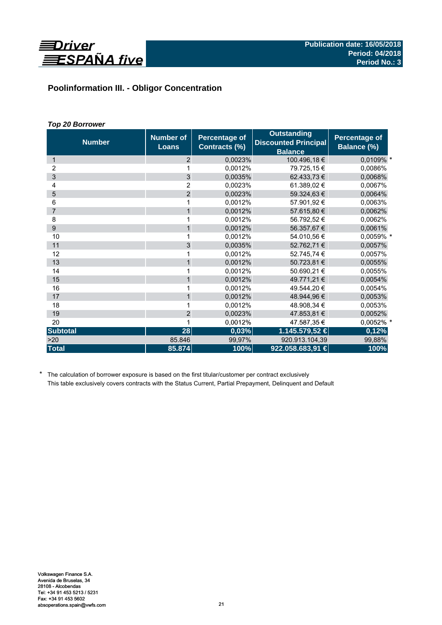

# **Poolinformation III. - Obligor Concentration**

# *Top 20 Borrower*

| <b>Number</b>   | <b>Number of</b><br><b>Loans</b> | <b>Percentage of</b><br>Contracts (%) | <b>Outstanding</b><br><b>Discounted Principal</b><br><b>Balance</b> | Percentage of<br>Balance (%) |
|-----------------|----------------------------------|---------------------------------------|---------------------------------------------------------------------|------------------------------|
| $\mathbf 1$     | 2                                | 0,0023%                               | 100.496,18 €                                                        | 0,0109% *                    |
| 2               |                                  | 0,0012%                               | 79.725,15€                                                          | 0,0086%                      |
| 3               | 3                                | 0.0035%                               | 62.433,73 €                                                         | 0,0068%                      |
| 4               | $\overline{2}$                   | 0,0023%                               | 61.389.02 €                                                         | 0,0067%                      |
| 5               | $\overline{2}$                   | 0.0023%                               | 59.324,63 €                                                         | 0,0064%                      |
| 6               | 1                                | 0,0012%                               | 57.901,92 €                                                         | 0,0063%                      |
| $\overline{7}$  | 1                                | 0,0012%                               | 57.615,80 €                                                         | 0,0062%                      |
| 8               | 1                                | 0,0012%                               | 56.792,52 €                                                         | 0,0062%                      |
| 9               | $\mathbf{1}$                     | 0,0012%                               | 56.357,67 €                                                         | 0,0061%                      |
| 10              | 1                                | 0.0012%                               | 54.010,56 €                                                         | 0,0059% *                    |
| 11              | 3                                | 0,0035%                               | 52.762,71 €                                                         | 0,0057%                      |
| 12              | 1                                | 0,0012%                               | 52.745,74 €                                                         | 0,0057%                      |
| 13              | $\mathbf{1}$                     | 0,0012%                               | 50.723,81 €                                                         | 0,0055%                      |
| 14              | 1                                | 0.0012%                               | 50.690,21 €                                                         | 0,0055%                      |
| 15              | $\mathbf{1}$                     | 0,0012%                               | 49.771,21 €                                                         | 0,0054%                      |
| 16              | 1                                | 0,0012%                               | 49.544,20 €                                                         | 0,0054%                      |
| 17              | $\mathbf{1}$                     | 0,0012%                               | 48.944,96 €                                                         | 0,0053%                      |
| 18              | 1                                | 0.0012%                               | 48.908,34 €                                                         | 0.0053%                      |
| 19              | $\overline{2}$                   | 0,0023%                               | 47.853,81 €                                                         | 0,0052%                      |
| 20              | 1                                | 0,0012%                               | 47.587,35€                                                          | 0,0052% *                    |
| <b>Subtotal</b> | 28                               | 0,03%                                 | 1.145.579,52 €                                                      | 0,12%                        |
| >20             | 85.846                           | 99,97%                                | 920.913.104,39                                                      | 99,88%                       |
| <b>Total</b>    | 85.874                           | 100%                                  | 922.058.683,91 €                                                    | 100%                         |

\* The calculation of borrower exposure is based on the first titular/customer per contract exclusively This table exclusively covers contracts with the Status Current, Partial Prepayment, Delinquent and Default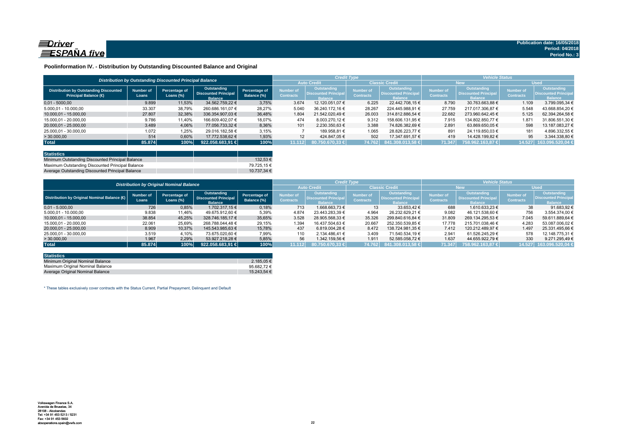

### **Poolinformation IV. - Distribution by Outstanding Discounted Balance and Original**

|                                                                              |                    | Distribution by Outstanding Discounted Principal Balance |                                                              |                              |                               | <b>Credit Type</b>                                            |                               |                                                                     | <b>Vehicle Status</b>                |                                                             |                                      |                                                                    |  |
|------------------------------------------------------------------------------|--------------------|----------------------------------------------------------|--------------------------------------------------------------|------------------------------|-------------------------------|---------------------------------------------------------------|-------------------------------|---------------------------------------------------------------------|--------------------------------------|-------------------------------------------------------------|--------------------------------------|--------------------------------------------------------------------|--|
|                                                                              |                    |                                                          |                                                              |                              |                               | <b>Auto Credit</b>                                            |                               | <b>Classic Credit</b>                                               | <b>New</b>                           |                                                             | <b>Used</b>                          |                                                                    |  |
| <b>Distribution by Outstanding Discounted</b><br><b>Principal Balance (€</b> | Number of<br>Loans | Percentage of<br>Loans $(\%)$                            | Outstanding<br><b>Discounted Principal</b><br><b>Balance</b> | Percentage of<br>Balance (%) | Number of<br><b>Contracts</b> | Outstanding<br><b>'Uiscounted Principal</b><br><b>Ralance</b> | Number of<br><b>Contracts</b> | <b>Outstanding</b><br><b>Discounted Principal</b><br><b>Balance</b> | <b>Number of</b><br><b>Contracts</b> | Outstanding<br><b>Discounted Principa</b><br><b>Ralance</b> | <b>Number of</b><br><b>Contracts</b> | <b>Outstanding</b><br><b>Discounted Principa</b><br><b>Balance</b> |  |
| $0.01 - 5000.00$                                                             | 9.899              | 11,53%                                                   | 34.562.759.22 €                                              | 3.75%                        | 3.674                         | 12.120.051.07 €                                               | 6.225                         | 22.442.708.15 €                                                     | 8.790                                | 30.763.663.88 €                                             | 1.109                                | 3.799.095.34 €                                                     |  |
| 5.000.01 - 10.000.00                                                         | 33.307             | 38.79%                                                   | 260.686.161.07 €                                             | 28.27%                       | 5.040                         | 36.240.172.16 €                                               | 28.267                        | 224.445.988.91 €                                                    | 27.759                               | 217.017.306.87 €                                            | 5.548                                | 43.668.854.20 €                                                    |  |
| 10.000,01 - 15.000,00                                                        | 27,807             | 32,38%                                                   | 336.354.907.03 €                                             | 36.48%                       | 1.804                         | 21.542.020.49 €                                               | 26.003                        | 314.812.886.54 €                                                    | 22.682                               | 273.960.642.45 €                                            | 5.125                                | 62.394.264.58 €                                                    |  |
| 15.000.01 - 20.000.00                                                        | 9.786              | 11.40%                                                   | 166.609.402.07 €                                             | 18.07%                       | 474                           | 8.003.270.12 €                                                | 9.312                         | 158.606.131.95 €                                                    | 7.915                                | 134.802.850.77 €                                            | 1.87'                                | 31.806.551.30 €                                                    |  |
| 20.000,01 - 25.000,00                                                        | 3.489              | 4,06%                                                    | 77.056.733.32 €                                              | 8,36%                        | 101                           | 2.230.350.63 €                                                | 3.388                         | 74.826.382.69 €                                                     | 2.891                                | 63.869.650.05 €                                             | 598                                  | 13.187.083.27 €                                                    |  |
| 25.000.01 - 30.000.00                                                        | 1.072              | 1,25%                                                    | 29.016.182,58 €                                              | 3,15%                        |                               | 189.958.81 €                                                  | 1.065                         | 28.826.223.77 €                                                     | 891                                  | 24.119.850.03 €                                             | 181                                  | 4.896.332,55 €                                                     |  |
| > 30.000,00                                                                  | 514                | 0,60%                                                    | 17.772.538.62 €                                              | 1.93%                        | 12                            | 424.847.05 €                                                  | 502                           | 17.347.691.57 €                                                     | 419                                  | 14.428.199.82 €                                             | 95                                   | 3.344.338.80 €                                                     |  |
| <b>Total</b>                                                                 | 85,874             | 100%                                                     | 922.058.683.91                                               | 100%                         | 11.112                        | 80.750.670.33 €                                               | 74.762                        | 841.308.013.58 €                                                    | 71.347                               | 758.962.163.87 €                                            | 14.527                               | 163.096.520.04 €                                                   |  |

| <b>Statistics</b>                                |              |
|--------------------------------------------------|--------------|
| Minimum Outstanding Discounted Principal Balance | $132.53 \in$ |
| Maximum Outstanding Discounted Principal Balance | 79.725.15 €  |
| Average Outstanding Discounted Principal Balance | 10.737.34 €  |

| <b>Distribution by Original Nominal Balance</b> |                           |                               |                                                              |                              |                               |                                                                     | <b>Credit Type</b>            |                                                              | <b>Vehicle Status</b>         |                                                                     |                               |                                                             |  |
|-------------------------------------------------|---------------------------|-------------------------------|--------------------------------------------------------------|------------------------------|-------------------------------|---------------------------------------------------------------------|-------------------------------|--------------------------------------------------------------|-------------------------------|---------------------------------------------------------------------|-------------------------------|-------------------------------------------------------------|--|
|                                                 |                           |                               |                                                              |                              |                               | <b>Auto Credit</b>                                                  | <b>Classic Credit</b>         |                                                              | <b>New</b>                    |                                                                     | <b>Used</b>                   |                                                             |  |
| Distribution by Original Nominal Balance (O     | <b>Number of</b><br>Loans | Percentage of<br>Loans $(\%)$ | Outstanding<br><b>Discounted Principal</b><br><b>Balance</b> | Percentage of<br>Balance (%) | Number of<br><b>Contracts</b> | <b>Outstanding</b><br><b>Discounted Principal</b><br><b>Balance</b> | Number of<br><b>Contracts</b> | Outstanding<br><b>Discounted Principal</b><br><b>Ralance</b> | lumber of<br><b>Contracts</b> | <b>Outstanding</b><br><b>Discounted Principal</b><br><b>Balance</b> | Number of<br><b>Contracts</b> | Outstanding<br><b>Discounted Principa</b><br><b>Balance</b> |  |
| $0.01 - 5.000.00$                               | 726                       | 0,85%                         | 1.702.317.15 €                                               | 0,18%                        | 713                           | 1.668.663.73 €                                                      | 13                            | 33.653.42 €                                                  | 688                           | 1.610.633.23 €                                                      | 38                            | 91.683.92 €                                                 |  |
| 5.000,01 - 10.000,00                            | 9.838                     | 11,46%                        | 49.675.912,60 €                                              | 5,39%                        | 4.874                         | 23.443.283.39 €                                                     | 4.964                         | 26.232.629.21 €                                              | 9.082                         | 46.121.538.60 €                                                     | 756                           | 3.554.374.00 €                                              |  |
| 10.000.01 - 15.000.00                           | 38.854                    | 45,25%                        | 328.746.185.17 €                                             | 35,65%                       | 3.528                         | 28.905.568.33 €                                                     | 35.326                        | 299.840.616.84 €                                             | 31.809                        | 269.134.295.53 €                                                    | 7.045                         | 59.611.889.64 €                                             |  |
| 15.000.01 - 20.000.00                           | 22.061                    | 25,69%                        | 268.788.044.48 €                                             | 29,15%                       | 1.394                         | 16.437.504.63 €                                                     | 20.667                        | 252.350.539.85 €                                             | 17.778                        | 215.701.038.46 €                                                    | 4.283                         | 53.087.006.02 €                                             |  |
| 20.000.01 - 25.000.00                           | 8.909                     | 10.37%                        | 145.543.985.63 €                                             | 15.78%                       | 437                           | 6.819.004.28 €                                                      | 8.472                         | 138.724.981.35 €                                             | 7.412                         | 120.212.489.97 €                                                    | 1.497                         | 25.331.495.66 €                                             |  |
| 25.000.01 - 30.000.00                           | 3.519                     | 4,10%                         | 73.675.020.60 €                                              | 7,99%                        | 110                           | 2.134.486.41 €                                                      | 3.409                         | 71.540.534.19 €                                              | 2.941                         | 61.526.245.29 €                                                     | 578                           | 12.148.775.31 €                                             |  |
| >30.000,00                                      | 1.967                     | 2,29%                         | 53.927.218.28 €                                              | 5,85%                        | 56                            | 1.342.159.56 €                                                      | 1.911                         | 52.585.058.72 €                                              | 1.637                         | 44.655.922.79 €                                                     | 330                           | 9.271.295.49 €                                              |  |
| <b>Total</b>                                    | 85,874                    | 100%                          | 922.058.683.91 €                                             | 100%                         | 11.112                        | $80.750.670.33 \in \mathbb{R}$                                      | 74.762                        | 841.308.013.58 €                                             | 71.347                        | 758.962.163.87 €                                                    | 14.527                        | 163.096.520,04                                              |  |

| <b>Statistics</b>                |                 |
|----------------------------------|-----------------|
| Minimum Original Nominal Balance | 2.185.05 €      |
| Maximum Original Nominal Balance | 95.682.72 $\in$ |
| Average Original Nominal Balance | 15.243.54 €     |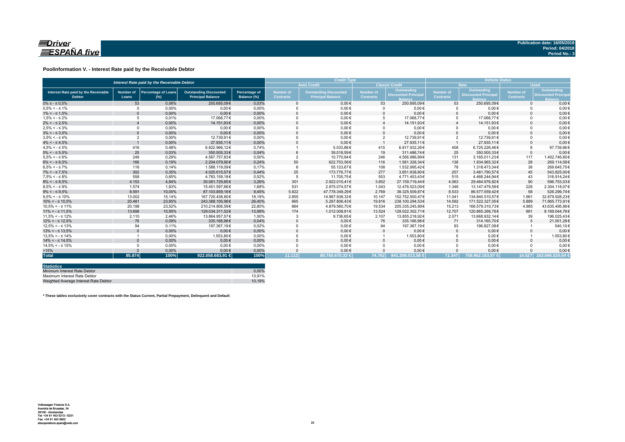

### **Poolinformation V. - Interest Rate paid by the Receivable Debtor**

| Interest Rate paid by the Receivable Debtor           |                           |                                      |                                                           |                                     |                                      | <b>Credit Type</b>                                        | <b>Vehicle Status</b>                |                                           |                        |                                                  |                               |                                                          |
|-------------------------------------------------------|---------------------------|--------------------------------------|-----------------------------------------------------------|-------------------------------------|--------------------------------------|-----------------------------------------------------------|--------------------------------------|-------------------------------------------|------------------------|--------------------------------------------------|-------------------------------|----------------------------------------------------------|
|                                                       |                           |                                      |                                                           |                                     |                                      | <b>Auto Credit</b>                                        |                                      | <b>Classic Credit</b>                     |                        | <b>New</b>                                       | <b>Used</b>                   |                                                          |
| Interest Rate paid by the Receivable<br><b>Debtor</b> | <b>Number of</b><br>Loans | <b>Percentage of Loans</b><br>$(\%)$ | <b>Outstanding Discounted</b><br><b>Principal Balance</b> | <b>Percentage of</b><br>Balance (%) | <b>Number of</b><br><b>Contracts</b> | <b>Outstanding Discounted</b><br><b>Principal Balance</b> | <b>Number of</b><br><b>Contracts</b> | Outstanding<br><b>Discounted Principa</b> | Number of<br>Contracts | <b>Outstanding</b><br><b>Discounted Principa</b> | Number of<br><b>Contracts</b> | Outstanding<br><b>Discounted Princip</b><br><b>Ralar</b> |
| $0\% \leq -\leq 0.5\%$                                | 53                        | 0.06%                                | 250.695.09€                                               | 0.03%                               |                                      | $0.00 \in$                                                | 53                                   | 250.695.09€                               | 53                     | 250.695.09€                                      | $\Omega$                      | $0.00 \in$                                               |
| $0.5\% < -5.1\%$                                      | $\Omega$                  | 0.00%                                | $0.00 \in$                                                | 0.00%                               |                                      | $0.00 \in$                                                |                                      | $0.00 \in$                                | $\Omega$               | $0.00 \in$                                       |                               | $0.00 \in$                                               |
| $1\% < - \leq 1.5\%$                                  |                           | 0,00%                                | $0.00 \in$                                                | 0,00%                               |                                      | $0,00 \in$                                                |                                      | $0,00 \in$                                | $\Omega$               | $0,00 \in$                                       |                               | $0,00 \in$                                               |
| $1.5\% < -5.2\%$                                      |                           | 0.01%                                | 17.068.77€                                                | 0.00%                               |                                      | $0,00 \in$                                                | 5                                    | 17.068.77€                                | 5                      | 17.068.77€                                       |                               | $0,00 \in$                                               |
| $2\% < - \leq 2.5\%$                                  |                           | 0,00%                                | 14.151,93€                                                | 0,00%                               |                                      | $0.00 \in$                                                |                                      | 14.151,93€                                |                        | 14.151,93€                                       |                               | $0.00 \in$                                               |
| $2.5\% < -5.3\%$                                      | $\Omega$                  | 0.00%                                | $0.00 \in$                                                | 0.00%                               |                                      | $0.00 \in$                                                |                                      | $0.00 \in$                                | $\Omega$               | $0.00 \in$                                       |                               | $0.00 \in$                                               |
| $3\% < - \leq 3.5\%$                                  | $\Omega$                  | 0,00%                                | $0.00 \in$                                                | 0,00%                               |                                      | $0.00 \in$                                                |                                      | $0.00 \in$                                | $\Omega$               | $0,00 \in$                                       |                               | $0.00 \in$                                               |
| $3.5\% < -5.4\%$                                      | $\overline{2}$            | 0.00%                                | 12.739.91€                                                | 0.00%                               |                                      | $0.00 \in$                                                | $\overline{2}$                       | 12.739.91€                                | $\overline{2}$         | 12.739.91€                                       |                               | $0.00 \in$                                               |
| $4\% < - \leq 4.5\%$                                  |                           | 0,00%                                | 27.935.11€                                                | 0.00%                               |                                      | $0.00 \in$                                                |                                      | 27,935,11€                                |                        | 27.935.11€                                       |                               | $0,00 \in$                                               |
| $4.5\% < -5\%$                                        | 416                       | 0.48%                                | 6.822.966.12€                                             | 0.74%                               |                                      | 5.033.86€                                                 | 415                                  | 6.817.932.26€                             | 408                    | 6.725.226.46€                                    |                               | 97.739.66€                                               |
| $5\% < - \leq 5.5\%$                                  | 25                        | 0,03%                                | 350.505.33€                                               | 0,04%                               |                                      | 39.018.59€                                                | 19                                   | 311.486.74€                               | 25                     | 350.505.33€                                      | $\Omega$                      | $0,00 \in$                                               |
| $5.5\% < -5.6\%$                                      | 248                       | 0,29%                                | 4.567.757,83€                                             | 0,50%                               |                                      | 10.770,94€                                                | 246                                  | 4.556.986,89€                             | 131                    | 3.165.011.23€                                    | 117                           | 1.402.746.60€                                            |
| $6\% < - \leq 6.5\%$                                  | 166                       | 0,19%                                | 2.204.079.90€                                             | 0,24%                               | 50                                   | 622.753,56€                                               | 116                                  | 1.581.326.34€                             | 138                    | 1.934.965.32€                                    | 28                            | 269.114.58€                                              |
| $6.5\% < -5.7\%$                                      | 116                       | 0.14%                                | 1.588.119.09€                                             | 0.17%                               |                                      | 55.123,67€                                                | 108                                  | 1.532.995.42€                             | 78                     | 1.318.473.34 €                                   | 38                            | 269.645.75€                                              |
| $7\% < - \leq 7.5\%$                                  | 302                       | 0,35%                                | 4.025.615,57€                                             | 0,44%                               | 25                                   | 173.776.77€                                               | 277                                  | 3.851.838,80€                             | 257                    | 3.481.790,57€                                    | 45                            | 543.825,00€                                              |
| $7.5\% < -5.8\%$                                      | 558                       | 0.65%                                | 4.783.159.18€                                             | 0.52%                               |                                      | 11.705.75€                                                | 553                                  | 4.771.453.43€                             | 515                    | 4.466.244.94€                                    | 43                            | 316.914.24€                                              |
| $8\% < - \leq 8.5\%$                                  | 4.153                     | 4,84%                                | 30.081.729.85€                                            | 3,26%                               | 301                                  | 2.922.010.41€                                             | 3.852                                | 27.159.719.44€                            | 4.063                  | 29.484.976.82€                                   | 90                            | 596.753.03€                                              |
| $8.5\% < -5.9\%$                                      | 1.574                     | 1.83%                                | 15.451.597.66€                                            | 1.68%                               | 531                                  | 2.975.074.57€                                             | 1.043                                | 12.476.523.09€                            | 1.346                  | 13.147.479.59€                                   | 228                           | 2.304.118.07€                                            |
| $9\% < - \leq 9.5\%$                                  | 8.591                     | 10.00%                               | 87.103.859.16€                                            | 9,45%                               | 5.822                                | 47.778.349.29€                                            | 2.769                                | 39.325.509.87€                            | 8.533                  | 86.577.559.42€                                   | 58                            | 526.299.74€                                              |
| $9.5\% < -5.10\%$                                     | 13.002                    | 15.14%                               | 167.720.438.80€                                           | 18.19%                              | 2.855                                | 14.967.938.33€                                            | 10.147                               | 152.752.500.47€                           | 11.041                 | 134.840.510.57€                                  | 1.961                         | 32.879.928.23€                                           |
| $10\% < -\leq 10.5\%$                                 | 20.481                    | 23,85%                               | 243.388.100.96€                                           | 26,40%                              | 665                                  | 5.287.806,43€                                             | 19.816                               | 238.100.294.53€                           | 14.592                 | 171.522.327.05€                                  | 5.889                         | 71.865.773.91€                                           |
| $10.5\% < -5.11\%$                                    | 20.198                    | 23,52%                               | 210.214.806.59€                                           | 22,80%                              | 664                                  | 4.879.560,70€                                             | 19.534                               | 205.335.245,89€                           | 15.213                 | 166.579.310,73€                                  | 4.985                         | 43.635.495,86€                                           |
| $11\% < - \leq 11.5\%$                                | 13.698                    | 15,95%                               | 129.034.311.52€                                           | 13,99%                              | 174                                  | 1.012.008,81€                                             | 13.524                               | 128.022.302.71€                           | 12.707                 | 120.865.266.76€                                  | 991                           | 8.169.044,76€                                            |
| $11.5\% < -5.12\%$                                    | 2.110                     | 2.46%                                | 13.864.957.57€                                            | 1.50%                               |                                      | 9.738,65€                                                 | 2.107                                | 13.855.218.92€                            | 2.071                  | 13.668.932.14€                                   | 39                            | 196.025.43€                                              |
| $12\% < -512.5\%$                                     | 76                        | 0,09%                                | 335.166,98€                                               | 0,04%                               |                                      | $0,00 \in$                                                | 76                                   | 335.166,98€                               | 71                     | 314.165,70€                                      |                               | 21.001,28€                                               |
| $12.5\% < -5.13\%$                                    | 94                        | 0.11%                                | 197.367.19€                                               | 0.02%                               |                                      | $0.00 \in$                                                | 94                                   | 197.367.19€                               | 93                     | 196.827,09€                                      |                               | 540,10€                                                  |
| $13\% < -513.5\%$                                     |                           | 0,00%                                | $0,00 \in$                                                | 0,00%                               |                                      | $0,00 \in$                                                |                                      | $0,00 \in$                                | $\mathbf{0}$           | $0,00 \in$                                       |                               | $0,00 \in$                                               |
| $13.5\% < -5.14\%$                                    |                           | 0.00%                                | 1.553.80 €                                                | 0.00%                               |                                      | $0.00 \in$                                                |                                      | 1.553,80€                                 | $\Omega$               | $0.00 \in$                                       |                               | 1.553,80€                                                |
| $14\% < -5.14.5\%$                                    |                           | 0.00%                                | $0.00 \in$                                                | 0,00%                               |                                      | $0.00 \in$                                                |                                      | $0.00 \in$                                | $\Omega$               | $0.00 \in$                                       |                               | $0.00 \in$                                               |
| $14.5\% < -5.15\%$                                    |                           | 0.00%                                | $0.00 \in$                                                | 0.00%                               |                                      | $0.00 \in$                                                |                                      | $0.00 \in$                                | $\Omega$               | $0.00 \in$                                       |                               | $0.00 \in$                                               |
| >15%                                                  |                           | 0,00%                                | $0.00 \in$                                                | 0,00%                               |                                      | $0,00 \in$                                                |                                      | $0,00 \in$                                |                        | $0,00 \in$                                       |                               | $0,00 \in$                                               |
| <b>Total</b>                                          | 85.874                    | 100%                                 | 922.058.683.91 €                                          | 100%                                | 11.112                               | 80.750.670.33 €                                           | 74.762                               | 841.308.013.58 €                          | 71.347                 | 758.962.163.87 €                                 |                               | 14.527 163.096.520.04 €                                  |

| <b>Statistics</b>                     |        |
|---------------------------------------|--------|
| Minimum Interest Rate Debtor          | 0.00%  |
| Maximum Interest Rate Debtor          | 13.91% |
| Weighted Average Interest Rate Debtor | 10.19% |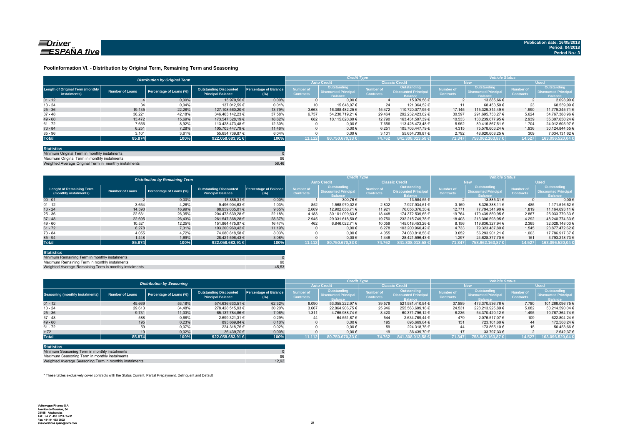

### **Poolinformation VI. - Distribution by Original Term, Remaining Term and Seasoning**

|                                                  |                 | <b>Distribution by Original Term</b> |                                                           |                              |                                      | <b>Credit Type</b>                                          |                               |                                                             | <b>Vehicle Status</b>                |                                                                    |                                      |                                                              |
|--------------------------------------------------|-----------------|--------------------------------------|-----------------------------------------------------------|------------------------------|--------------------------------------|-------------------------------------------------------------|-------------------------------|-------------------------------------------------------------|--------------------------------------|--------------------------------------------------------------------|--------------------------------------|--------------------------------------------------------------|
|                                                  |                 |                                      |                                                           |                              |                                      | <b>Auto Credit</b>                                          |                               | <b>Classic Credit</b>                                       | <b>New</b>                           |                                                                    | <b>Used</b>                          |                                                              |
| Length of Original Term (monthly<br>instalments) | Number of Loans | Percentage of Loans (%)              | <b>Outstanding Discounted</b><br><b>Principal Balance</b> | Percentage of Balance<br>(%) | <b>Number of</b><br><b>Contracts</b> | Outstanding<br><b>Discounted Principa</b><br><b>Balance</b> | Number of<br><b>Contracts</b> | Outstanding<br><b>Discounted Principa</b><br><b>Balance</b> | <b>Number of</b><br><b>Contracts</b> | <b>Outstanding</b><br><b>Discounted Principa</b><br><b>Balance</b> | <b>Number of</b><br><b>Contracts</b> | Outstanding<br><b>Discounted Principal</b><br><b>Balance</b> |
| $01 - 12$                                        |                 | 0.00%                                | 15.979.56 €                                               | 0.00%                        |                                      | $0.00 \in$                                                  |                               | 15.979.56 €                                                 |                                      | 13.885.66 €                                                        |                                      | 2.093.90 €                                                   |
| $13 - 24$                                        | 34              | 0,04%                                | 137.012.59 €                                              | 0.01%                        | 10                                   | 15.648.07 €                                                 | 24                            | 121.364.52 €                                                |                                      | 68.453.50 €                                                        | 23                                   | 68.559.09 €                                                  |
| $25 - 36$                                        | 19.135          | 22.28%                               | 127.108.560.20 €                                          | 13.79%                       | 3.663                                | 16.388.482.25 €                                             | 15.472                        | 110.720.077.95 €                                            | 17.145                               | 115.329.314.49 €                                                   | 1.990                                | 11.779.245.71 €                                              |
| $37 - 48$                                        | 36.221          | 42,18%                               | 346.463.142.23 €                                          | 37,58%                       | 6.757                                | 54.230.719.21 €                                             | 29.464                        | 292.232.423.02 €                                            | 30.597                               | 291.695.753.27 €                                                   | 5.624                                | 54.767.388.96 €                                              |
| $49 - 60$                                        | 13.472          | 15.69%                               | 173.547.328.19 €                                          | 18.82%                       | 682                                  | 10.115.820.80 €                                             | 12.790                        | 163.431.507.39 €                                            | 10.533                               | 138.239.677.95 €                                                   | 2.939                                | 35.307.650.24 €                                              |
| $61 - 72$                                        | 7.656           | 8,92%                                | 113.428.473.48 €                                          | 12,30%                       |                                      | $0.00 \in$                                                  | 7.656                         | 113.428.473.48 €                                            | 5.952                                | 89.415.867.51 €                                                    | 1.704                                | 24.012.605.97 €                                              |
| $73 - 84$                                        | 6.251           | 7.28%                                | 105.703.447.79 €                                          | 11.46%                       |                                      | $0.00 \in$                                                  | 6.251                         | 105.703.447.79 €                                            | 4.315                                | 75.578.603.24 €                                                    | 1.936                                | 30.124.844.55 €                                              |
| $85 - 96$                                        | 3.101           | 3,61%                                | 55.654.739.87 €                                           | 6.04%                        |                                      | $0,00 \in$                                                  | 3.101                         | 55.654.739.87 €                                             | 2.792                                | 48.620.608,25 €                                                    | 309                                  | 7.034.131.62 6                                               |
| <b>Total</b>                                     | 85.874          | 100%                                 | 922.058.683,91                                            | 100%                         | 11.112                               | $80.750.670.33 \in$                                         | 74.762                        | $841.308.013.58 \in$                                        | 71.347                               | 758.962.163.87 €                                                   | 14.527                               | 163.096.520,04 €                                             |

| <b>Statistics</b>                                     |       |
|-------------------------------------------------------|-------|
| Minimum Original Term in monthly instalments          |       |
| Maximum Original Term in monthly instalments          | 96    |
| Weighted Average Original Term in monthly instalments | 58.46 |

Weighted Average Original Term in monthly install

|                                                          |                        | <b>Distribution by Remaining Term</b> |                                                           |                                     |                                      | <b>Credit Type</b>                                          |                                      |                                                              | <b>Vehicle Status</b>                |                                                                    |                                      |                                                             |  |
|----------------------------------------------------------|------------------------|---------------------------------------|-----------------------------------------------------------|-------------------------------------|--------------------------------------|-------------------------------------------------------------|--------------------------------------|--------------------------------------------------------------|--------------------------------------|--------------------------------------------------------------------|--------------------------------------|-------------------------------------------------------------|--|
|                                                          |                        |                                       |                                                           |                                     |                                      | <b>Auto Credit</b>                                          |                                      | <b>Classic Credit</b>                                        | <b>New</b>                           |                                                                    | <b>Used</b>                          |                                                             |  |
| <b>Lenght of Remaining Term</b><br>(monthly instalments) | <b>Number of Loans</b> | Percentage of Loans (%)               | <b>Outstanding Discounted</b><br><b>Principal Balance</b> | <b>Percentage of Balance</b><br>(%) | <b>Number of</b><br><b>Contracts</b> | Outstanding<br><b>Discounted Principa</b><br><b>Balance</b> | <b>lumber</b> of<br><b>Contracts</b> | Outstanding<br><b>Discounted Principal</b><br><b>Balance</b> | <b>Number of</b><br><b>Contracts</b> | <b>Outstanding</b><br><b>Discounted Principa</b><br><b>Balance</b> | <b>Number of</b><br><b>Contracts</b> | <b>Outstanding</b><br><b>Discounted Principal</b><br>alance |  |
| $00 - 01$                                                |                        | 0,00%                                 | 13.885.31 €                                               | 0,00%                               |                                      | 300.76 €                                                    |                                      | 13.584.55 €                                                  |                                      | 13.885.31 €                                                        |                                      | $0.00 \leftarrow$                                           |  |
| $01 - 12$                                                | 3.654                  | 4,26%                                 | 9.496.904.63 €                                            | 1,03%                               | 852                                  | 1.568.970.02 €                                              | 2.802                                | 7.927.934.61 €                                               | 3.169                                | 8.325.388.11 €                                                     | 485                                  | 1.171.516,52 €                                              |  |
| $13 - 24$                                                | 14.590                 | 16.99%                                | 88.959.035.01 €                                           | 9,65%                               | 2.669                                | 12.902.658.71 €                                             | 11.921                               | 76.056.376.30 €                                              | 12.771                               | 77.794.341.90 €                                                    | 1.819                                | 11.164.693.11 (                                             |  |
| $25 - 36$                                                | 22.631                 | 26,35%                                | 204.473.639.28 €                                          | 22,18%                              | 4.183                                | 30.101.099.63 €                                             | 18.448                               | 174.372.539.65 €                                             | 19.764                               | 179.439.859.95 €                                                   | 2.867                                | 25.033.779,33 €                                             |  |
| $37 - 48$                                                | 22.695                 | 26.43%                                | 261.547.368.28 €                                          | 28.37%                              | 2.945                                | 29.331.618.50 €                                             | 19.750                               | 232.215.749.78 €                                             | 18.403                               | 213.306.593.95 €                                                   | 4.292                                | 48.240.774.33 6                                             |  |
| $49 - 60$                                                | 10.521                 | 12,25%                                | 151.864.475.97 €                                          | 16.47%                              | 462                                  | 6.846.022.71 €                                              | 10.059                               | 145.018.453.26 €                                             | 8.156                                | 119.836.327.94 €                                                   | 2.365                                | 32.028.148.03 6                                             |  |
| $61 - 72$                                                | 6.278                  | 7.31%                                 | 103.200.960.42 €                                          | 11.19%                              |                                      | $0.00 \in$                                                  | 6.278                                | 103.200.960.42 €                                             | 4.733                                | 79.323.487.80 €                                                    | 1.545                                | 23.877.472.62 6                                             |  |
| $73 - 84$                                                | 4.055                  | 4.72%                                 | 74.080.818.58 €                                           | 8,03%                               |                                      | $0.00 \in$                                                  | 4.055                                | 74.080.818.58 €                                              | 3.052                                | 56.293.901.21 €                                                    | 1.003                                | 17.786.917.37 6                                             |  |
| $85 - 94$                                                | 1.448                  | 1.69%                                 | 28.421.596.43 €                                           | 3.08%                               |                                      | $0.00 \in$                                                  | 1.448                                | 28.421.596.43 €                                              | 1.297                                | 24.628.377.70 €                                                    | 151                                  | 3.793.218.73 6                                              |  |
| <b>Total</b>                                             | 85.874                 | 100%                                  | 922.058.683.91 €                                          | 100%                                | 11.112                               | 80.750.670.33 €                                             | 74.762                               | 841.308.013.58 €                                             | 71.347                               | 1758.962.163.87 €                                                  | 14.527                               | 163.096.520,04                                              |  |

| <b>Statistics</b>                                      |       |
|--------------------------------------------------------|-------|
| Minimum Remaining Term in monthly instalments          |       |
| Maximum Remaining Term in monthly instalments          | 90    |
| Weighted Average Remaining Term in monthly instalments | 45.53 |

|                                        |                        | <b>Distribution by Seasoning</b> |                                                           |                                     |                               | <b>Credit Type</b>                                           |                                      |                                                              | <b>Vehicle Status</b>                |                                                                    |                                      |                                                      |  |
|----------------------------------------|------------------------|----------------------------------|-----------------------------------------------------------|-------------------------------------|-------------------------------|--------------------------------------------------------------|--------------------------------------|--------------------------------------------------------------|--------------------------------------|--------------------------------------------------------------------|--------------------------------------|------------------------------------------------------|--|
|                                        |                        |                                  |                                                           |                                     |                               | <b>Auto Credit</b>                                           | <b>Classic Credit</b>                |                                                              | New <sup>1</sup>                     |                                                                    | <b>Used</b>                          |                                                      |  |
| <b>Seasoning (monthly instalments)</b> | <b>Number of Loans</b> | Percentage of Loans (%)          | <b>Outstanding Discounted</b><br><b>Principal Balance</b> | <b>Percentage of Balance</b><br>(%) | Number of<br><b>Contracts</b> | Outstanding<br><b>Discounted Principal</b><br><b>Ralance</b> | <b>lumber</b> of<br><b>Contracts</b> | Outstanding<br><b>Discounted Principal</b><br><b>Ralance</b> | <b>Number of</b><br><b>Contracts</b> | <b>Outstanding</b><br><b>Discounted Principa</b><br><b>Balance</b> | <b>Number of</b><br><b>Contracts</b> | Outstanding<br><b>Discounted Principal</b><br>alance |  |
| $01 - 12$                              | 45.669                 | 53,18%                           | 574.636.633.51 €                                          | 62.32%                              | 6.090                         | 53.055.222.97 €                                              | 39.579                               | 521.581.410.54 €                                             | 37,889                               | 473.370.536.76 €                                                   | 7.780                                | 101.266.096.75 €                                     |  |
| $13 - 24$                              | 29.613                 | 34,48%                           | 278.428.515.93 €                                          | 30,20%                              | 3.667                         | 22.864.906.75 €                                              | 25.946                               | 255.563.609.18 €                                             | 24.531                               | 228.213.925.89 €                                                   | 5.082                                | 50.214.590.04 €                                      |  |
| $25 - 36$                              | 9.731                  | 11,33%                           | 65.137.784.86 €                                           | 7,06%                               | 1.311                         | 4.765.988.74 €                                               | 8.420                                | 60.371.796.12 €                                              | 8.236                                | 54.370.420.12 €                                                    | 1.495                                | 10.767.364.74 €                                      |  |
| $37 - 48$                              | 588                    | 0,68%                            | 2.699.321.31 €                                            | 0.29%                               | 44                            | 64.551.87 €                                                  | 544                                  | 2.634.769.44 €                                               | 479                                  | 2.076.517.07 €                                                     | 109                                  | 622.804.24 €                                         |  |
| $49 - 60$                              | 195                    | 0,23%                            | 895.669.84 €                                              | 0,10%                               |                               | $0.00 \in$                                                   | 195                                  | 895.669.84 €                                                 | 151                                  | 723.101.60 €                                                       | 44                                   | 172.568.24                                           |  |
| $61 - 72$                              | 59                     | 0,07%                            | 224.318.76 €                                              | 0.02%                               |                               | $0.00 \in$                                                   | 59                                   | 224.318.76 €                                                 | 44                                   | 173.865.10 €                                                       |                                      | 50.453,66 €                                          |  |
| > 72                                   | 19                     | 0.02%                            | 36.439.70 €                                               | 0,00%                               |                               | $0.00 \in$                                                   |                                      | 36.439.70 €                                                  | 17                                   | 33.797.33 €                                                        |                                      | 2.642.37                                             |  |
| <b>Total</b>                           | 85.874                 | 100%                             | 922.058.683,91 €                                          | 100%                                | 11.112                        | 80.750.670.33 €                                              | 74.762                               | $1841.308.013.58 \in$                                        | 71.347                               | 758.962.163.87 €                                                   | 14.527                               | 163.096.520,04                                       |  |

| <b>Statistics</b>                                      |       |
|--------------------------------------------------------|-------|
| Minimum Seasoning Term in monthly instalments          |       |
| Maximum Seasoning Term in monthly instalments          | 96    |
| Weighted Average Seasoning Term in monthly instalments | 12.92 |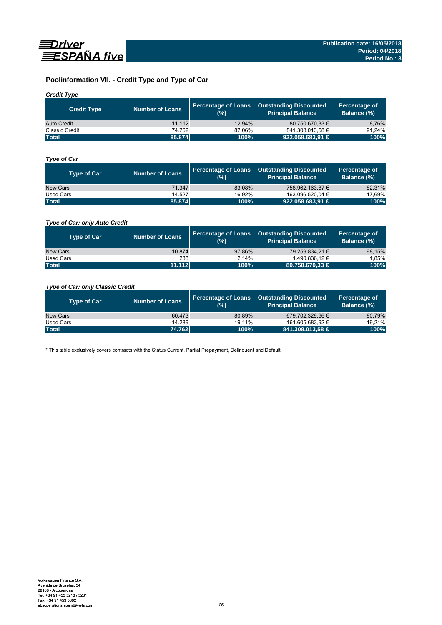

# **Poolinformation VII. - Credit Type and Type of Car**

# *Credit Type*

| <b>Credit Type</b> | <b>Number of Loans</b> | (%)    | Percentage of Loans   Outstanding Discounted<br>l Principal Balance <sup>\</sup> | Percentage of<br>Balance (%) |
|--------------------|------------------------|--------|----------------------------------------------------------------------------------|------------------------------|
| Auto Credit        | 11.112                 | 12.94% | 80.750.670.33 €                                                                  | 8,76%                        |
| Classic Credit     | 74.762                 | 87.06% | 841.308.013,58 €                                                                 | 91.24%                       |
| <b>Total</b>       | 85.874                 | 100%   | 922.058.683,91                                                                   | 100%                         |

# *Type of Car*

| <b>Type of Car</b> | <b>Number of Loans</b> | (%)    | Percentage of Loans   Outstanding Discounted<br><b>Principal Balance</b> | Percentage of<br>Balance (%) |
|--------------------|------------------------|--------|--------------------------------------------------------------------------|------------------------------|
| New Cars           | 71.347                 | 83.08% | 758.962.163.87 €                                                         | 82,31%                       |
| Used Cars          | 14.527                 | 16.92% | 163.096.520.04 €                                                         | 17,69%                       |
| <b>Total</b>       | 85,874                 | 100%   | 922.058.683,91                                                           | 100%                         |

# *Type of Car: only Auto Credit*

| <b>Type of Car</b> | <b>Number of Loans</b> | (%)    | Percentage of Loans   Outstanding Discounted<br><b>Principal Balance</b> | Percentage of<br><b>Balance (%)</b> |
|--------------------|------------------------|--------|--------------------------------------------------------------------------|-------------------------------------|
| New Cars           | 10.874                 | 97.86% | 79.259.834.21 €                                                          | 98,15%                              |
| Used Cars          | 238                    | 2.14%  | 1.490.836.12 €                                                           | 1.85%                               |
| <b>Total</b>       | 11.112                 | 100%   | $80.750.670.33 \in$                                                      | 100%                                |

# *Type of Car: only Classic Credit*

| <b>Type of Car</b> | <b>Number of Loans</b> | (%)    | Percentage of Loans   Outstanding Discounted<br><b>Principal Balance</b> | Percentage of<br>Balance (%) |
|--------------------|------------------------|--------|--------------------------------------------------------------------------|------------------------------|
| New Cars           | 60.473                 | 80.89% | 679.702.329.66 €                                                         | 80,79%                       |
| Used Cars          | 14.289                 | 19.11% | 161.605.683.92 €                                                         | 19.21%                       |
| <b>Total</b>       | 74.762                 | 100%   | 841.308.013,58 €                                                         | 100%                         |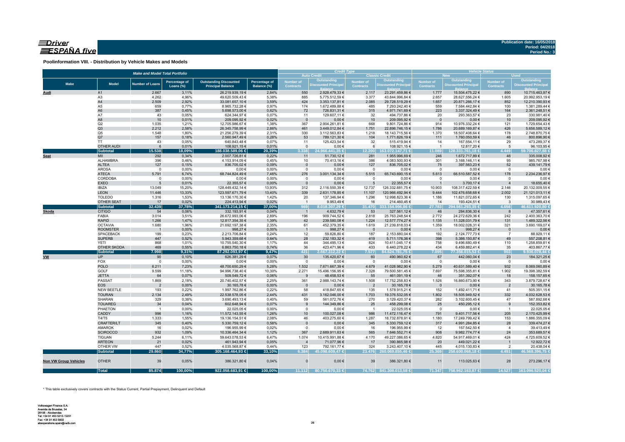# $\equiv$ Driver ESPAÑA five

**Poolinformation VIII. - Distribution by Vehicle Makes and Models**

|                              |                                | <b>Make and Model Total Portfolio</b> |                      |                                    | <b>Credit Type</b> |                  |                                            | <b>Vehicle Status</b><br><b>Used</b><br><b>New</b> |                                           |                                   |                                  |                                      |                                  |
|------------------------------|--------------------------------|---------------------------------------|----------------------|------------------------------------|--------------------|------------------|--------------------------------------------|----------------------------------------------------|-------------------------------------------|-----------------------------------|----------------------------------|--------------------------------------|----------------------------------|
|                              |                                |                                       |                      |                                    |                    |                  | <b>Auto Credit</b>                         |                                                    | <b>Classic Credit</b>                     |                                   | Outstanding                      |                                      | Outstanding                      |
| <b>Make</b>                  | <b>Model</b>                   | <b>Number of Loans</b>                | <b>Percentage of</b> | <b>Outstanding Discounted</b>      | Percentage of      | <b>Number of</b> | <b>Outstanding<br/>Discounted Principa</b> | <b>Number of</b><br><b>Contracts</b>               | <b>Outstanding</b><br>Discounted Principa | Number of<br><b>Contracts</b>     | <b>Discounted Principa</b>       | <b>Number of</b><br><b>Contracts</b> | <b>Discounted Principal</b>      |
|                              |                                |                                       | Loans (%)            | <b>Principal Balance</b>           | Balance (%)        | <b>Contracts</b> |                                            |                                                    |                                           |                                   |                                  |                                      |                                  |
| Audi                         | A1                             | 2.667                                 | 3,11%                | 26.219.939,19€                     | 2,84%              | 550              | 2.928.479,33 €                             | 2.117                                              | 23.291.459,86 €                           | 1.777                             | 15.504.475,22 €                  | 890                                  | 10.715.463,97 €                  |
|                              | A <sub>3</sub>                 | 4.262                                 | 4,96%                | 49.620.509,43 €                    | 5,38%              | 885              | 5.775.512,59 €                             | 3.377                                              | 43.844.996,84 €                           | 2.657                             | 28.627.556,24 €                  | 1.605                                | 20.992.953,19 €                  |
|                              | A4                             | 2.509                                 | 2,92%                | 33.081.657,10 €                    | 3,59%              | 424              | 3.353.137,81 €                             | 2.085                                              | 29.728.519,29 €                           | 1.657                             | 20.871.266,17 €                  | 852                                  | 12.210.390,93 €                  |
|                              | A5<br>A <sub>6</sub>           | 659<br>387                            | 0,77%<br>0,45%       | 8.965.732,28 €<br>5.698.573,00 €   | 0,97%<br>0,62%     | 174<br>72        | 1.672.489,88 €<br>726.831,31 €             | 485<br>315                                         | 7.293.242,40 €<br>4.971.741,69 €          | 559<br>223                        | 7.584.442,84 €<br>3.337.324,49 € | 100<br>164                           | 1.381.289,44 €<br>2.361.248,51 € |
|                              | A7                             | 43                                    | 0,05%                | 624.344,97 €                       | 0,07%              | 11               | 129.607,11 €                               | 32                                                 | 494.737,86 €                              | 20                                | 293.363,57 €                     | 23                                   | 330.981,40 €                     |
|                              | A8                             | 10                                    | 0,01%                | 209.095,92€                        | 0,02%              | $\mathbf{0}$     | $0,00 \in$                                 | 10                                                 | 209.095,92 €                              | $\overline{0}$                    | $0,00 \in$                       | 10                                   | 209.095,92€                      |
|                              | Q2                             | 1.035                                 | 1,21%                | 12.705.986,67 €                    | 1,38%              | 367              | 2.904.261,81 €                             | 668                                                | 9.801.724,86 €                            | 914                               | 10.976.332,24 €                  | 121                                  | 1.729.654,43 €                   |
|                              | Q3                             | 2.212                                 | 2,58%                | 26.345.758,99 €                    | 2,86%              | 461              | 3.449.012,84 €                             | 1.751                                              | 22.896.746,15€                            | 1.786                             | 20.689.169,87 €                  | 426                                  | 5.656.589,12 €                   |
|                              | Q <sub>5</sub>                 | 1.548                                 | 1,80%                | 21.256.279,39 €                    | 2,31%              | 330              | 3.112.563,83 €                             | 1.218                                              | 18.143.715,56 €                           | 1.370                             | 18.507.408,64 €                  | 178                                  | 2.748.870,75 €                   |
|                              | Q7                             | 157                                   | 0,18%                | 2.560.947,49 €                     | 0,28%              | 53               | 789.121,30 €                               | 104                                                | 1.771.826,19€                             | 111                               | 1.760.050,59 €                   | 46                                   | 800.896,90€                      |
|                              | <b>TT</b>                      | 43                                    | 0,05%                | 640.843,48€                        | 0,07%              | 11               | 125.423,54 €                               | 32                                                 | 515.419,94 €                              | 14                                | 167.554,11 €                     | 29                                   | 473.289,37 €                     |
|                              | <b>OTHER AUDI</b>              | $6\phantom{1}6$                       | 0,01%                | 108.921,15 €                       | 0,01%              | $\mathbf{0}$     | $0,00 \in$                                 | 6                                                  | 108.921,15 €                              | $\overline{1}$                    | 12.817,20 €                      | 5                                    | 96.103,95 €                      |
|                              | <b>Subtotal</b>                | 15.538                                | 18,09%               | 188.038.589,06 €                   | 20,39%             | 3.338            | 24.966.441.35 €                            | 12.200                                             | 163.072.147,71 €                          | 11.089                            | 128.331.761,18 €                 | 4.449                                | 59.706.827,88 €                  |
| <b>Seat</b>                  | MII<br>ALHAMBRA                | 292<br>396                            | 0,34%<br>0,46%       | 2.007.726,81 €                     | 0,22%<br>0,45%     | 11<br>10         | 51.730,12€                                 | 281<br>386                                         | 1.955.996,69 €<br>4.083.500,93 €          | 246<br>301                        | 1.672.717,89 €                   | 46<br>95                             | 335.008,92 €                     |
|                              | <b>ALTEA</b>                   | 127                                   | 0,15%                | 4.153.914,09 €<br>836.705,02€      | 0,09%              | $\overline{0}$   | 70.413,16€<br>$0,00 \in$                   | 127                                                | 836.705,02 €                              | 75                                | 3.168.146,11 €<br>397.563,23 €   | 52                                   | 985.767,98€<br>439.141,79 €      |
|                              | <b>AROSA</b>                   | $\mathbf 0$                           | 0,00%                | $0,00 \in$                         | 0,00%              | $\mathbf 0$      | $0,00 \in$                                 | $\overline{0}$                                     | $0,00 \in$                                | $^{\circ}$                        | $0,00 \in$                       | $\Omega$                             | $0,00 \in$                       |
|                              | <b>ATECA</b>                   | 5.791                                 | 6,74%                | 68.744.824,49 €                    | 7,46%              | 276              | 3.001.134,34 €                             | 5.515                                              | 65.743.690,15 €                           | 5.613                             | 66.510.587,52 €                  | 178                                  | 2.234.236,97 €                   |
|                              | CORDOBA                        | $\mathbf 0$                           | 0,00%                | $0,00 \in$                         | 0,00%              | $\mathsf 0$      | $0,00 \in$                                 | $\overline{0}$                                     | $0,00 \in$                                | $\overline{0}$                    | $0,00 \in$                       | $\mathbf 0$                          | $0,00 \in$                       |
|                              | <b>EXEO</b>                    | 5                                     | 0,01%                | 22.355,57€                         | 0,00%              | $\Omega$         | $0,00 \in$                                 | $\overline{5}$                                     | 22.355,57€                                | $\overline{1}$                    | 3.700,17 €                       |                                      | 18.655,40 €                      |
|                              | <b>IBIZA</b>                   | 13.049                                | 15,20%               | 128.449.432,14 €                   | 13,93%             | 312              | 2.116.550,39 €                             | 12.737                                             | 126.332.881,75 €                          | 10.903                            | 108.317.422,59 €                 | 2.146                                | 20.132.009,55 €                  |
|                              | <b>LEON</b>                    | 11.446                                | 13,33%               | 123.597.671,79 €                   | 13,40%             | 339              | 2.631.178,85 €                             | 11.107                                             | 120.966.492,94 €                          | 9.444                             | 102.476.658,68 €                 | 2.002                                | 21.121.013,11 €                  |
|                              | <b>TOLEDO</b>                  | 1.316                                 | 1,53%                | 13.136.170,30 €                    | 1,42%              | 20               | 137.346,94 €                               | 1.296                                              | 12.998.823,36 €                           | 1.186                             | 11.821.072,65 €                  | 130                                  | 1.315.097,65 €                   |
|                              | OTHER SEAT                     | 17                                    | 0,02%                | 224.413,94 €                       | 0,02%              | $\overline{1}$   | 9.953,49€                                  | 16                                                 | 214.460,45 €                              | 14                                | 193.424,51 €                     | $\overline{\mathbf{3}}$              | 30.989,43€                       |
|                              | <b>Subtotal</b>                | 32.439                                | 37,78%               | 341.173.214,15 €                   | 37,00%             | 969              | 8.018.307,29 €                             | 31.470                                             | 333.154.906,86 €                          | 27.783                            | 294.561.293,35 €                 | 4.656                                | 46.611.920,80 €                  |
| Skoda                        | <b>CITIGO</b>                  | 54                                    | 0,06%                | 332.193,91 €                       | 0,04%              | $\overline{1}$   | 4.632,79 €                                 | 53                                                 | 327.561,12 €                              | 46                                | 284.836,30 €                     | 8                                    | 47.357,61 €                      |
|                              | FABIA                          | 3.014                                 | 3,51%                | 26.672.993,06 €                    | 2,89%              | 196              | 909.744,52 €                               | 2.818                                              | 25.763.248,54 €                           | 2.772                             | 24.272.629,36 €                  | 242                                  | 2.400.363,70 €                   |
|                              | <b>RAPID</b><br><b>OCTAVIA</b> | 1.266                                 | 1,47%<br>1,96%       | 12.817.354,35 €<br>21.692.197,38 € | 1,39%<br>2,35%     | 42<br>61         | 239.580,08 €                               | 1.224<br>1.619                                     | 12.577.774,27 €                           | 1.135                             | 11.328.031,79 €                  | 131<br>321                           | 1.489.322,56 €                   |
|                              | <b>ROOMSTER</b>                | 1.680<br>$\overline{1}$               | 0,00%                | 998,27€                            | 0,00%              | $\overline{1}$   | 452.379,35 €<br>998,27€                    | $\overline{\phantom{0}}$                           | 21.239.818,03 €<br>$0,00 \in$             | 1.359<br>$\overline{\phantom{0}}$ | 18.002.028,31 €<br>998,27€       | $\overline{0}$                       | 3.690.169,07 €<br>$0,00 \in$     |
|                              | <b>SPACEBACK</b>               | 199                                   | 0,23%                | 2.213.706,84 €                     | 0,24%              | 12               | 59.826,80 €                                | 187                                                | 2.153.880,04 €                            | 192                               | 2.124.777,73 €                   | $\overline{7}$                       | 88.929,11 €                      |
|                              | <b>SUPERB</b>                  | 447                                   | 0,52%                | 5.943.359,68 €                     | 0,64%              | 28               | 232.183,32 €                               | 419                                                | 5.711.176,36 €                            | 398                               | 5.386.150,87 €                   | 49                                   | 557.208,81 €                     |
|                              | <b>YETI</b>                    | 868                                   | 1,01%                | 10.755.540,30 €                    | 1,17%              | 44               | 344.495,13 €                               | 824                                                | 10.411.045,17 €                           | 758                               | 9.496.680,49€                    | 110                                  | 1.258.859,81 €                   |
|                              | OTHER SKODA                    | 469                                   | 0,55%                | 6.863.750,18 €                     | 0,74%              | 36               | 423.471,96 €                               | 433                                                | 6.440.278,22 €                            | 434                               | 6.459.882,41 €                   | 35                                   | 403.867,77 €                     |
|                              | <b>Subtotal</b>                | 7.998                                 | 9,31%                | 87.292.093,97 €                    | 9,47%              | 421              | 2.667.312,22 €                             | 7.577                                              | 84.624.781,75€                            | 7.095                             | 77.356.015,53 €                  | 903                                  | 9.936.078,44 €                   |
| <b>VW</b>                    | <b>UP</b>                      | 90                                    | 0,10%                | 626.381,29€                        | 0,07%              | 30               | 135.420,67 €                               | 60                                                 | 490.960,62 €                              | 67                                | 442.060,04 €                     | 23                                   | 184.321,25 €                     |
|                              | FOX                            | $\overline{0}$                        | 0,00%                | $0,00 \in$                         | 0,00%              | $\mathbf 0$      | $0,00 \in$                                 | $\overline{0}$                                     | $0,00 \in$                                | $\overline{0}$                    | $0,00 \in$                       | $\overline{0}$                       | $0,00 \in$                       |
|                              | <b>POLO</b>                    | 6.211                                 | 7,23%                | 48.700.650,29 €                    | 5,28%              | 1.532            | 7.671.667,39 €                             | 4.679                                              | 41.028.982,90 €                           | 5.279                             | 40.631.589,40 €                  | 932                                  | 8.069.060,89€                    |
|                              | GOLF                           | 9.599<br>64                           | 11,18%               | 94.996.738,40 €                    | 10,30%             | 2.271            | 15.496.156,95 €                            | 7.328                                              | 79.500.581,45 €                           | 7.697                             | 75.598.355,81 €                  | 1.902                                | 19.398.382,59 €                  |
|                              | <b>JETTA</b><br>PASSAT         | 1.869                                 | 0,07%                | 509.549,72€                        | 0,06%              | 9<br>361         | 48.458,53 €                                | 55                                                 | 461.091,19€                               | 46                                | 351.392,07 €                     | 18                                   | 158.157,65€                      |
|                              | <b>EOS</b>                     | $\overline{2}$                        | 2,18%<br>0,00%       | 20.740.402,57 €<br>30.165,78 €     | 2,25%<br>0,00%     | $\mathbf 0$      | 2.988.143,74 €<br>$0,00 \in$               | 1.508<br>$\overline{2}$                            | 17.752.258,83 €<br>30.165,78 €            | 1.526<br>$\overline{\mathbf{0}}$  | 16.860.673,90 €<br>$0,00 \in$    | 343<br>$\overline{2}$                | 3.879.728,67 €<br>30.165,78 €    |
|                              | NEW BEETLE                     | 193                                   | 0,22%                | 1.997.762,86 €                     | 0,22%              | 58               | 418.847,65 €                               | 135                                                | 1.578.915,21 €                            | 152                               | 1.492.411,71 €                   | 41                                   | 505.351,15€                      |
|                              | <b>TOURAN</b>                  | 2.134                                 | 2,49%                | 22.538.578,05 €                    | 2,44%              | 431              | 3.162.046,00 €                             | 1.703                                              | 19.376.532,05 €                           | 1.802                             | 18.505.949,52 €                  | 332                                  | 4.032.628,53 €                   |
|                              | SHARAN                         | 329                                   | 0,38%                | 3.690.493,13 €                     | 0,40%              | 59               | 561.072,76 €                               | 270                                                | 3.129.420,37 €                            | 282                               | 3.102.600,45 €                   | 47                                   | 587.892,68€                      |
|                              | <b>TOUAREG</b>                 | 34                                    | 0,04%                | 602.648,94 €                       | 0,07%              | 9                | 144.349,86 €                               | 25                                                 | 458.299,08€                               | 25                                | 450.295,12€                      | 9                                    | 152.353,82 €                     |
|                              | PHAETON                        | $\overline{1}$                        | 0,00%                | 22.025,05 €                        | 0,00%              | $\mathsf 0$      | $0,00 \in$                                 | $\overline{1}$                                     | 22.025,05 €                               | $\overline{\mathbf{0}}$           | $0,00 \in$                       | $\overline{1}$                       | 22.025,05€                       |
|                              | CADDY                          | 996                                   | 1,16%                | 11.572.143,55 €                    | 1,26%              | 10               | 100.027,08 €                               | 986                                                | 11.472.116,47 €                           | 791                               | 9.401.717,56 €                   | 205                                  | 2.170.425,99 €                   |
|                              | T4/T5                          | 1.333                                 | 1,55%                | 19.136.154,51 €                    | 2,08%              | 46               | 403.275,60 €                               | 1.287                                              | 18.732.878,91 €                           | 1.180                             | 17.249.799,42 €                  | 153                                  | 1.886.355,09 €                   |
|                              | CRAFTER/LT                     | 345                                   | 0,40%                | 5.330.759,12 €                     | 0,58%              | $\overline{0}$   | $0,00 \in$                                 | 345                                                | 5.330.759,12 €                            | 317                               | 4.991.284,85 €                   | 28                                   | 339.474,27 €                     |
|                              | AMAROK                         | 16                                    | 0,02%                | 196.955,99 €                       | 0,02%              | $\mathsf 0$      | $0,00 \in$                                 | 16                                                 | 196.955,99 €                              | 12                                | 157.542,50 €                     | 4                                    | 39.413,49 €                      |
|                              | <b>SCIROCCO</b>                | 932                                   | 1,09%                | 10.336.464,34 €                    | 1,12%              | 367              | 2.689.911,63 €                             | 565                                                | 7.646.552,71 €                            | 908                               | 9.982.774,77 €                   | 24                                   | 353.689,57€                      |
|                              | <b>TIGUAN</b>                  | 5.244                                 | 6,11%                | 59.643.078,53 €                    | 6,47%              | 1.074            | 10.415.991,88 €                            | 4.170                                              | 49.227.086,65 €                           | 4.820                             | 54.917.469,01 €                  | 424                                  | 4.725.609,52 €                   |
|                              | <b>ARTEON</b>                  | 21                                    | 0,02%                | 461.943,94 €                       | 0,05%              | $\overline{4}$   | 71.077,96 €                                | 17                                                 | 390.865,98€                               | 20                                | 449.021,22 €                     | $\overline{1}$                       | 12.922,72 €                      |
|                              | OTHER VW                       | 447                                   | 0,52%                | 4.035.568,87 €                     | 0,44%              | 123              | 792.161,77 €                               | 324                                                | 3.243.407,10 €                            | 445                               | 4.015.130,83 €                   | 2                                    | 20.438,04 €                      |
|                              | <b>Subtotal</b>                | 29.860                                | 34,77%               | 305.168.464,93 €                   | 33,10%             | 6.384            | 45.098.609,47 €                            | 23.476                                             | 260.069.855.46 €                          | 25.369                            | 258.600.068.18 €                 | 4.491                                | 46.568.396,75 €                  |
| <b>Non VW Group Vehicles</b> | <b>OTHER</b>                   | 39                                    | 0,05%                | 386.321,80 €                       | 0,04%              | $\Omega$         | $0,00 \in$                                 | 39                                                 | 386.321,80 €                              | 11                                | 113.025,63 €                     | 28                                   | 273.296,17€                      |
|                              | <b>Total</b>                   | 85.874                                | 100,00%              | 922.058.683,91 €                   | 100,00%            | 11.112           | 80.750.670,33 €                            |                                                    | 74.762 841.308.013,58 €                   | 71.347                            | 758.962.163,87 €                 | 14.527                               | 163.096.520,04 €                 |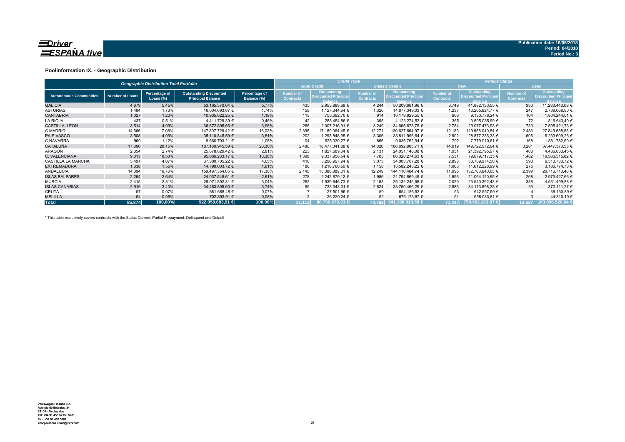

### **Poolinformation IX. - Geographic Distribution**

|                               |                        | <b>Geographic Distribution Total Portfolio</b> |                                                           |                              |                               | <b>Credit Type</b>                                           |                                      |                                                              | <b>Vehicle Status</b>                |                                                                     |                               |                                                      |  |  |
|-------------------------------|------------------------|------------------------------------------------|-----------------------------------------------------------|------------------------------|-------------------------------|--------------------------------------------------------------|--------------------------------------|--------------------------------------------------------------|--------------------------------------|---------------------------------------------------------------------|-------------------------------|------------------------------------------------------|--|--|
|                               |                        |                                                |                                                           |                              |                               | <b>Auto Credit</b>                                           |                                      | <b>Classic Credit</b>                                        |                                      | <b>New</b>                                                          |                               | <b>Used</b>                                          |  |  |
| <b>Autonomous Communities</b> | <b>Number of Loans</b> | Percentage of<br>Loans (%)                     | <b>Outstanding Discounted</b><br><b>Principal Balance</b> | Percentage of<br>Balance (%) | Number of<br><b>Contracts</b> | Outstanding<br><b>Discounted Principal</b><br><b>Balance</b> | <b>Number of</b><br><b>Contracts</b> | Outstanding<br><b>Discounted Principal</b><br><b>Balance</b> | <b>Number of</b><br><b>Contracts</b> | <b>Outstanding</b><br><b>Discounted Principal</b><br><b>Balance</b> | Number of<br><b>Contracts</b> | Outstanding<br><b>Discounted Principa</b><br>Balance |  |  |
| <b>GALICIA</b>                | 4.679                  | 5,45%                                          | 53.165.570,64 €                                           | 5,77%                        | 435                           | 2.955.888,68 €                                               | 4.244                                | 50.209.681,96 €                                              | 3.749                                | 41.882.130,55 €                                                     | 930                           | 11.283.440,09 €                                      |  |  |
| <b>ASTURIAS</b>               | 1.484                  | 1,73%                                          | 16.004.693,67 €                                           | 1,74%                        | 158                           | 1.127.344,64 €                                               | 1.326                                | 14.877.349,03 €                                              | 1.237                                | 13.265.624,77 €                                                     | 247                           | 2.739.068,90 €                                       |  |  |
| <b>CANTABRIA</b>              | 1.027                  | 1,20%                                          | 10.935.022.25 €                                           | 1,19%                        | 113                           | 755.092.70 €                                                 | 914                                  | 10.179.929.55 €                                              | 863                                  | 9.130.778.24 €                                                      | 164                           | 1.804.244.01 €                                       |  |  |
| <b>LA RIOJA</b>               | 437                    | 0.51%                                          | 4.411.729.39 €                                            | 0,48%                        | 42                            | 288.454.86 €                                                 | 395                                  | 4.123.274.53 €                                               | 365                                  | 3.595.085.99 €                                                      | 72                            | 816.643.40 €                                         |  |  |
| <b>CASTILLA LEON</b>          | 3.514                  | 4,09%                                          | 36.672.895,66 €                                           | 3,98%                        | 265                           | 2.007.216,91 €                                               | 3.249                                | 34.665.678.75 €                                              | 2.784                                | 29.077.473.93 €                                                     | 730                           | 7.595.421,73 €                                       |  |  |
| C.MADRID                      | 14.666                 | 17,08%                                         | 147.807.729,42 €                                          | 16,03%                       | 2.395                         | 17.180.064,45 €                                              | 12.271                               | 130.627.664,97 €                                             | 12.183                               | 119.958.040,84 €                                                    | 2.483                         | 27.849.688,58 €                                      |  |  |
| <b>PAIS VASCO</b>             | 3.508                  | 4,09%                                          | 35.110.845.59 €                                           | 3,81%                        | 202                           | 1.298.848.95 €                                               | 3.306                                | 33.811.996,64 €                                              | 2.902                                | 28.877.236.33 €                                                     | 606                           | 6.233.609,26 €                                       |  |  |
| C.NAVARRA                     | 960                    | 1,12%                                          | 9.660.793.21 €                                            | 1,05%                        | 104                           | 625.030.27 €                                                 | 856                                  | 9.035.762,94 €                                               | 792                                  | 7.779.010.61 €                                                      | 168                           | 1.881.782,60 €                                       |  |  |
| <b>CATALUÑA</b>               | 17,300                 | 20,15%                                         | 187.169.945.59 €                                          | 20,30%                       | 2.480                         | 18.477.041.88 €                                              | 14.820                               | 168.692.903.71 €                                             | 14.019                               | 149.722.572.04 €                                                    | 3.281                         | 37.447.373.55 €                                      |  |  |
| ARAGÓN                        | 2.354                  | 2.74%                                          | 25.878.829.42 €                                           | 2,81%                        | 223                           | 1.827.689,34 €                                               | 2.131                                | 24.051.140.08 €                                              | 1.951                                | 21.392.795.97 €                                                     | 403                           | 4.486.033,45 €                                       |  |  |
| C. VALENCIANA                 | 9.013                  | 10,50%                                         | 95.666.233.17 €                                           | 10,38%                       | 1.308                         | 9.337.958.54 €                                               | 7.705                                | 86.328.274.63 €                                              | 7.531                                | 79.079.717.35 €                                                     | 1.482                         | 16.586.515.82 €                                      |  |  |
| <b>CASTILLA LA MANCHA</b>     | 3.491                  | 4,07%                                          | 37.300.705,22 €                                           | 4,05%                        | 418                           | 3.296.997,94 €                                               | 3.073                                | 34.003.707.28 €                                              | 2.898                                | 30.789.974,50 €                                                     | 593                           | 6.510.730,72 €                                       |  |  |
| <b>EXTREMADURA</b>            | 1.338                  | 1,56%                                          | 14.799.003,72 €                                           | 1,61%                        | 180                           | 1.216.760,50 €                                               | 1.158                                | 13.582.243,22 €                                              | 1.063                                | 11.612.228.99 €                                                     | 275                           | 3.186.774,73 €                                       |  |  |
| <b>ANDALUCIA</b>              | 14.394                 | 16,76%                                         | 159.497.354.05 €                                          | 17,30%                       | 2.145                         | 15.386.889,31 €                                              | 12.249                               | 144.110.464.74 €                                             | 11.995                               | 132.780.640.65 €                                                    | 2.399                         | 26.716.713.40 €                                      |  |  |
| <b>ISLAS BALEARES</b>         | 2.264                  | 2,64%                                          | 24.037.548.61 €                                           | 2,61%                        | 278                           | 2.242.679.12 €                                               | 1.986                                | 21.794.869.49 €                                              | 1.996                                | 21.064.120.95 €                                                     | 268                           | 2.973.427.66 €                                       |  |  |
| <b>MURCIA</b>                 | 2.415                  | 2,81%                                          | 28.071.892.31 €                                           | 3,04%                        | 262                           | 1.939.646,73 €                                               | 2.153                                | 26.132.245.58 €                                              | 2.029                                | 23.540.392.43 €                                                     | 386                           | 4.531.499,88 €                                       |  |  |
| <b>ISLAS CANARIAS</b>         | 2.919                  | 3,40%                                          | 34.483.809.60 €                                           | 3,74%                        | 95                            | 733.343,31 €                                                 | 2.824                                | 33.750.466,29 €                                              | 2.886                                | 34.113.698,33 €                                                     | 33                            | 370.111,27 €                                         |  |  |
| <b>CEUTA</b>                  | 57                     | 0,07%                                          | 681.688,48 €                                              | 0,07%                        |                               | 27.501,96 €                                                  | 50                                   | 654.186,52 €                                                 | 53                                   | 642.557,59 €                                                        |                               | 39.130,89 €                                          |  |  |
| <b>MELILLA</b>                | 54                     | 0,06%                                          | 702.393,91 €                                              | 0,08%                        |                               | 26.220,24 €                                                  | 52                                   | 676.173,67 €                                                 | 51                                   | 658.083,81 €                                                        |                               | 44.310,10 €                                          |  |  |
| <b>Total</b>                  | 85.874                 | 100,00%                                        | 922.058.683.91                                            | 100,00%                      | 11.112                        | 80.750.670.33 €                                              |                                      | 174.762 841.308.013,58 €                                     | 71.347                               | 758.962.163,87 €                                                    | 14.527                        | 163.096.520,04                                       |  |  |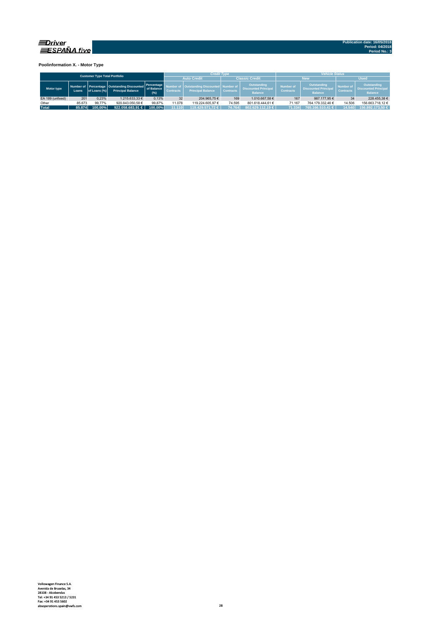

**Poolinformation X. - Motor Type**

| <b>Customer Type Total Portfolio</b> |        |              |                                                                           |                                   |                                      | <b>Credit Type</b>                                             |                  |                                                              | <b>Vehicle Status</b>                                                                                       |                  |                                      |                                                              |  |  |
|--------------------------------------|--------|--------------|---------------------------------------------------------------------------|-----------------------------------|--------------------------------------|----------------------------------------------------------------|------------------|--------------------------------------------------------------|-------------------------------------------------------------------------------------------------------------|------------------|--------------------------------------|--------------------------------------------------------------|--|--|
|                                      |        |              |                                                                           |                                   |                                      | <b>Auto Credit</b>                                             |                  | <b>Classic Credit</b>                                        |                                                                                                             | <b>New</b>       | <b>Used</b>                          |                                                              |  |  |
| Motor type                           | Loans. | of Loans (%) | Number of Percentage   Outstanding Discounted<br><b>Principal Balance</b> | Percentage<br>of Balance<br>(9/6) | <b>Number of</b><br><b>Contracts</b> | Outstanding Discounted   Number of<br><b>Principal Balance</b> | <b>Contracts</b> | Outstanding<br><b>Discounted Principal</b><br><b>Balance</b> | <b>Outstanding</b><br><b>Number of</b><br><b>Discounted Principal</b><br><b>Contracts</b><br><b>Balance</b> |                  | <b>Number of</b><br><b>Contracts</b> | Outstanding<br><b>Discounted Principal</b><br><b>Balance</b> |  |  |
| EA 189 (unfixed)                     | 201    | 0.23%        | 1.215.633.33 €                                                            | 0.13%                             | 32                                   | 204.965.75 €                                                   | 169              | 1.010.667.58 €                                               | 167                                                                                                         | 987.177.95€      | 34                                   | 228.455.38 €                                                 |  |  |
| Other                                | 85.673 | 99.77%       | 920.843.050.58 €                                                          | 99.87%                            | 1.078                                | 119.224.605.97 €                                               | 74.595           | 801.618.444.61 €                                             | 71.167                                                                                                      | 764.179.332.46 € | 14.506                               | 156.663.718.12 €                                             |  |  |
| <b>Total</b>                         | 85.874 | 100.00%      | 922.058.683.91 $\in$                                                      | 100.00%                           | 11.110                               | 119.429.571.72 €                                               | 74.764           | 802.629.112.19 €                                             | 71.334                                                                                                      | 765.166.510.41 € | 14.540                               | 156.892.173.50 €                                             |  |  |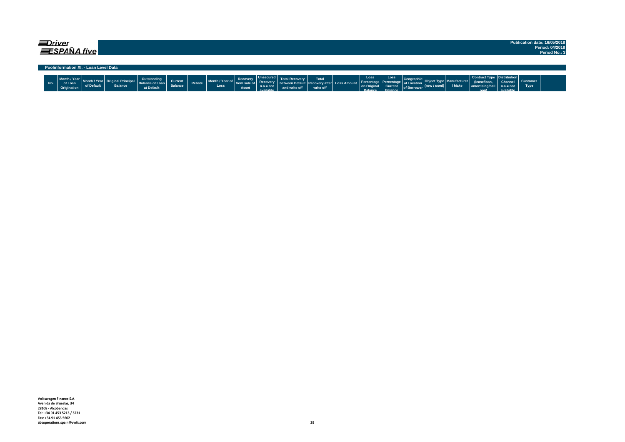| ≡Driver | <b>ESPAÑA five</b>                     |            |                |                                                     |                           |        |                         |                                     |                                                          |                                                             |                    |                                                    |                                                          |                                                     |                                  |                        |                                                                            |                                            |                         | Publication date: 16/05/2018<br>Period: 04/2018<br>Period No.: 3 |
|---------|----------------------------------------|------------|----------------|-----------------------------------------------------|---------------------------|--------|-------------------------|-------------------------------------|----------------------------------------------------------|-------------------------------------------------------------|--------------------|----------------------------------------------------|----------------------------------------------------------|-----------------------------------------------------|----------------------------------|------------------------|----------------------------------------------------------------------------|--------------------------------------------|-------------------------|------------------------------------------------------------------|
|         | Poolinformation XI. - Loan Level Data  |            |                |                                                     |                           |        |                         |                                     |                                                          |                                                             |                    |                                                    |                                                          |                                                     |                                  |                        |                                                                            |                                            |                         |                                                                  |
| No.     | Month / Year<br>of Loan<br>Origination | of Default | <b>Balance</b> | Outstanding<br><b>Balance of Loan</b><br>at Default | Current<br><b>Balance</b> | Rebate | Month / Year of<br>Loss | Recovery<br>l from sale of<br>Asset | Unsecured<br><b>Recovery</b><br>$n.a.= not$<br>available | between Default Recovery after Loss Amount<br>and write off | Total<br>write off | Loss<br>Percentage<br>on Origina<br><b>Ralance</b> | Loss<br>l Percentage<br><b>Current</b><br><b>Palance</b> | Geograph<br>al Location<br>of Borrower <sup>V</sup> | $ (\mathsf{new}/\mathsf{used}) $ | lanufacturer<br>/ Make | Contract Type   Distribution  <br>lease/loan <br>amortising/ball<br>$\sim$ | <b>Channel</b><br>$n.a = not$<br>available | <b>Customer</b><br>Type |                                                                  |